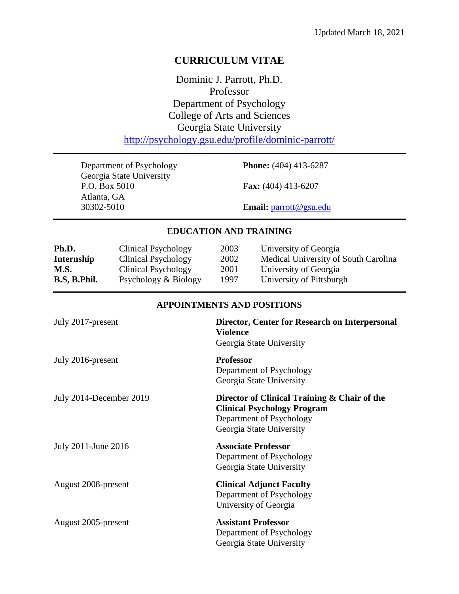# **CURRICULUM VITAE**

Dominic J. Parrott, Ph.D. Professor Department of Psychology College of Arts and Sciences Georgia State University <http://psychology.gsu.edu/profile/dominic-parrott/>

Department of Psychology **Phone:** (404) 413-6287 Georgia State University<br>P.O. Box 5010 Atlanta, GA 30302-5010 **Email:** [parrott@gsu.edu](mailto:parrott@gsu.edu)

**Fax:** (404) 413-6207

## **EDUCATION AND TRAINING**

| Ph.D.        | Clinical Psychology  | 2003 | University of Georgia                |
|--------------|----------------------|------|--------------------------------------|
| Internship   | Clinical Psychology  | 2002 | Medical University of South Carolina |
| M.S.         | Clinical Psychology  | 2001 | University of Georgia                |
| B.S, B.Phil. | Psychology & Biology | 1997 | University of Pittsburgh             |

### **APPOINTMENTS AND POSITIONS**

| July 2017-present       | Director, Center for Research on Interpersonal<br><b>Violence</b><br>Georgia State University                                              |
|-------------------------|--------------------------------------------------------------------------------------------------------------------------------------------|
| July 2016-present       | <b>Professor</b><br>Department of Psychology<br>Georgia State University                                                                   |
| July 2014-December 2019 | Director of Clinical Training & Chair of the<br><b>Clinical Psychology Program</b><br>Department of Psychology<br>Georgia State University |
| July 2011-June 2016     | <b>Associate Professor</b><br>Department of Psychology<br>Georgia State University                                                         |
| August 2008-present     | <b>Clinical Adjunct Faculty</b><br>Department of Psychology<br>University of Georgia                                                       |
| August 2005-present     | <b>Assistant Professor</b><br>Department of Psychology<br>Georgia State University                                                         |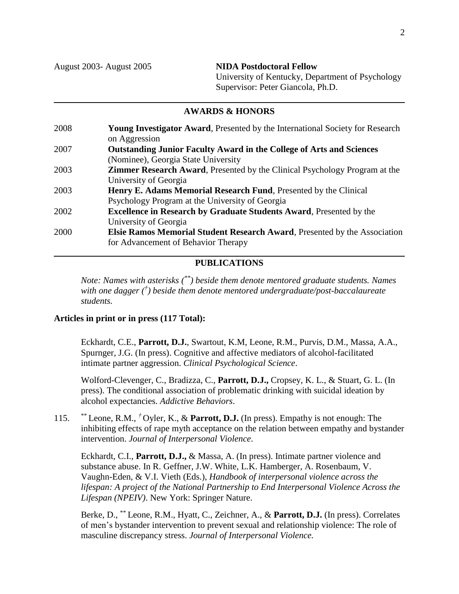August 2003- August 2005 **NIDA Postdoctoral Fellow** University of Kentucky, Department of Psychology Supervisor: Peter Giancola, Ph.D.

### **AWARDS & HONORS**

2008 **Young Investigator Award**, Presented by the International Society for Research on Aggression 2007 **Outstanding Junior Faculty Award in the College of Arts and Sciences** (Nominee), Georgia State University 2003 **Zimmer Research Award**, Presented by the Clinical Psychology Program at the University of Georgia 2003 **Henry E. Adams Memorial Research Fund**, Presented by the Clinical Psychology Program at the University of Georgia 2002 **Excellence in Research by Graduate Students Award**, Presented by the University of Georgia 2000 **Elsie Ramos Memorial Student Research Award**, Presented by the Association for Advancement of Behavior Therapy

#### **PUBLICATIONS**

*Note: Names with asterisks (\*\*) beside them denote mentored graduate students. Names with one dagger († ) beside them denote mentored undergraduate/post-baccalaureate students.*

#### **Articles in print or in press (117 Total):**

Eckhardt, C.E., **Parrott, D.J.**, Swartout, K.M, Leone, R.M., Purvis, D.M., Massa, A.A., Spurnger, J.G. (In press). Cognitive and affective mediators of alcohol-facilitated intimate partner aggression. *Clinical Psychological Science*.

Wolford-Clevenger, C., Bradizza, C., **Parrott, D.J.,** Cropsey, K. L., & Stuart, G. L. (In press). The conditional association of problematic drinking with suicidal ideation by alcohol expectancies. *Addictive Behaviors*.

115. \*\* Leone, R.M., *†* Oyler, K., & **Parrott, D.J.** (In press). Empathy is not enough: The inhibiting effects of rape myth acceptance on the relation between empathy and bystander intervention. *Journal of Interpersonal Violence*.

Eckhardt, C.I., **Parrott, D.J.,** & Massa, A. (In press). Intimate partner violence and substance abuse. In R. Geffner, J.W. White, L.K. Hamberger, A. Rosenbaum, V. Vaughn-Eden, & V.I. Vieth (Eds.), *Handbook of interpersonal violence across the lifespan: A project of the National Partnership to End Interpersonal Violence Across the Lifespan (NPEIV)*. New York: Springer Nature.

Berke, D., \*\* Leone, R.M., Hyatt, C., Zeichner, A., & **Parrott, D.J.** (In press). Correlates of men's bystander intervention to prevent sexual and relationship violence: The role of masculine discrepancy stress. *Journal of Interpersonal Violence.*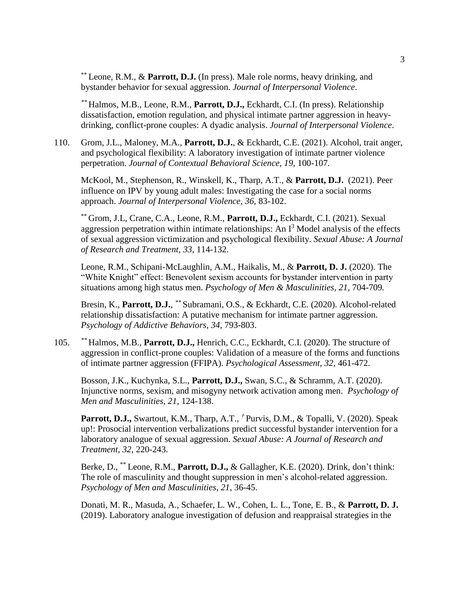\*\* Leone, R.M., & **Parrott, D.J.** (In press). Male role norms, heavy drinking, and bystander behavior for sexual aggression. *Journal of Interpersonal Violence*.

*\*\** Halmos, M.B., Leone, R.M., **Parrott, D.J.,** Eckhardt, C.I. (In press). Relationship dissatisfaction, emotion regulation, and physical intimate partner aggression in heavydrinking, conflict-prone couples: A dyadic analysis. *Journal of Interpersonal Violence*.

110. Grom, J.L., Maloney, M.A., **Parrott, D.J.**, & Eckhardt, C.E. (2021). Alcohol, trait anger, and psychological flexibility: A laboratory investigation of intimate partner violence perpetration. *Journal of Contextual Behavioral Science, 19,* 100-107*.*

McKool, M., Stephenson, R., Winskell, K., Tharp, A.T., & **Parrott, D.J.** (2021). Peer influence on IPV by young adult males: Investigating the case for a social norms approach. *Journal of Interpersonal Violence, 36,* 83-102.

\*\* Grom, J.L, Crane, C.A., Leone, R.M., **Parrott, D.J.,** Eckhardt, C.I. (2021). Sexual aggression perpetration within intimate relationships: An  $I<sup>3</sup>$  Model analysis of the effects of sexual aggression victimization and psychological flexibility. *Sexual Abuse: A Journal of Research and Treatment, 33*, 114-132.

Leone, R.M., Schipani-McLaughlin, A.M., Haikalis, M., & **Parrott, D. J.** (2020). The "White Knight" effect: Benevolent sexism accounts for bystander intervention in party situations among high status men. *Psychology of Men & Masculinities, 21,* 704-709*.* 

Bresin, K., **Parrott, D.J.**, *\*\** Subramani, O.S., & Eckhardt, C.E. (2020). Alcohol-related relationship dissatisfaction: A putative mechanism for intimate partner aggression. *Psychology of Addictive Behaviors, 34,* 793-803.

105. *\*\** Halmos, M.B., **Parrott, D.J.,** Henrich, C.C., Eckhardt, C.I. (2020). The structure of aggression in conflict-prone couples: Validation of a measure of the forms and functions of intimate partner aggression (FFIPA). *Psychological Assessment, 32*, 461-472.

Bosson, J.K., Kuchynka, S.L., **Parrott, D.J.,** Swan, S.C., & Schramm, A.T. (2020). Injunctive norms, sexism, and misogyny network activation among men. *Psychology of Men and Masculinities, 21*, 124-138.

**Parrott, D.J.,** Swartout, K.M., Tharp, A.T., *†* Purvis, D.M., & Topalli, V. (2020). Speak up!: Prosocial intervention verbalizations predict successful bystander intervention for a laboratory analogue of sexual aggression. *Sexual Abuse: A Journal of Research and Treatment, 32*, 220-243.

Berke, D., \*\* Leone, R.M., **Parrott, D.J.,** & Gallagher, K.E. (2020). Drink, don't think: The role of masculinity and thought suppression in men's alcohol-related aggression. *Psychology of Men and Masculinities, 21*, 36-45.

Donati, M. R., Masuda, A., Schaefer, L. W., Cohen, L. L., Tone, E. B., & **Parrott, D. J.** (2019). Laboratory analogue investigation of defusion and reappraisal strategies in the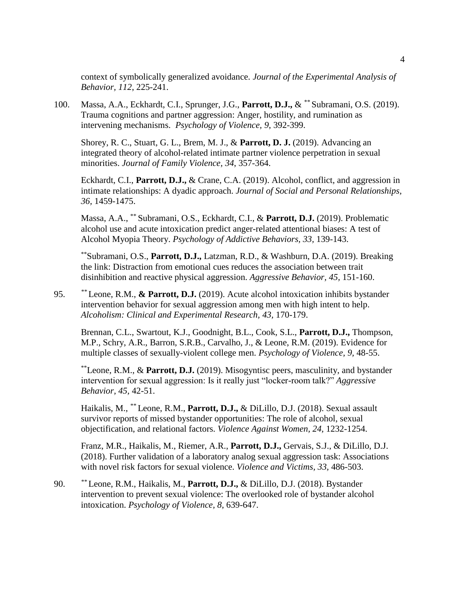context of symbolically generalized avoidance. *Journal of the Experimental Analysis of Behavior, 112*, 225-241.

100. Massa, A.A., Eckhardt, C.I., Sprunger, J.G., **Parrott, D.J.,** & *\*\** Subramani, O.S. (2019). Trauma cognitions and partner aggression: Anger, hostility, and rumination as intervening mechanisms. *Psychology of Violence, 9*, 392-399.

Shorey, R. C., Stuart, G. L., Brem, M. J., & **Parrott, D. J.** (2019). Advancing an integrated theory of alcohol-related intimate partner violence perpetration in sexual minorities. *Journal of Family Violence, 34*, 357-364.

Eckhardt, C.I., **Parrott, D.J.,** & Crane, C.A. (2019). Alcohol, conflict, and aggression in intimate relationships: A dyadic approach. *Journal of Social and Personal Relationships, 36,* 1459-1475.

Massa, A.A., \*\* Subramani, O.S., Eckhardt, C.I., & **Parrott, D.J.** (2019). Problematic alcohol use and acute intoxication predict anger-related attentional biases: A test of Alcohol Myopia Theory. *Psychology of Addictive Behaviors, 33,* 139-143.

\*\*Subramani, O.S., **Parrott, D.J.,** Latzman, R.D., & Washburn, D.A. (2019). Breaking the link: Distraction from emotional cues reduces the association between trait disinhibition and reactive physical aggression. *Aggressive Behavior, 45,* 151-160.

95. *\*\** Leone, R.M., **& Parrott, D.J.** (2019). Acute alcohol intoxication inhibits bystander intervention behavior for sexual aggression among men with high intent to help. *Alcoholism: Clinical and Experimental Research, 43,* 170-179.

Brennan, C.L., Swartout, K.J., Goodnight, B.L., Cook, S.L., **Parrott, D.J.,** Thompson, M.P., Schry, A.R., Barron, S.R.B., Carvalho, J., & Leone, R.M. (2019). Evidence for multiple classes of sexually-violent college men. *Psychology of Violence, 9,* 48-55.

\*\*Leone, R.M., & **Parrott, D.J.** (2019). Misogyntisc peers, masculinity, and bystander intervention for sexual aggression: Is it really just "locker-room talk?" *Aggressive Behavior, 45,* 42-51.

Haikalis, M., *\*\** Leone, R.M., **Parrott, D.J.,** & DiLillo, D.J. (2018). Sexual assault survivor reports of missed bystander opportunities: The role of alcohol, sexual objectification, and relational factors. *Violence Against Women, 24,* 1232-1254.

Franz, M.R., Haikalis, M., Riemer, A.R., **Parrott, D.J.,** Gervais, S.J., & DiLillo, D.J. (2018). Further validation of a laboratory analog sexual aggression task: Associations with novel risk factors for sexual violence. *Violence and Victims, 33,* 486-503.

90. *\*\** Leone, R.M., Haikalis, M., **Parrott, D.J.,** & DiLillo, D.J. (2018). Bystander intervention to prevent sexual violence: The overlooked role of bystander alcohol intoxication. *Psychology of Violence, 8*, 639-647.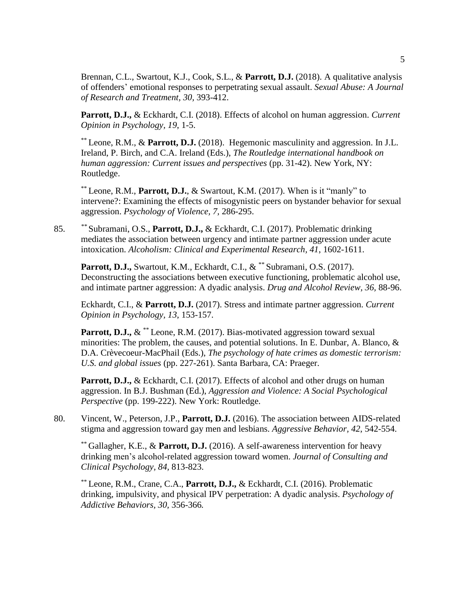Brennan, C.L., Swartout, K.J., Cook, S.L., & **Parrott, D.J.** (2018). A qualitative analysis of offenders' emotional responses to perpetrating sexual assault. *Sexual Abuse: A Journal of Research and Treatment, 30,* 393-412.

**Parrott, D.J.,** & Eckhardt, C.I. (2018). Effects of alcohol on human aggression. *Current Opinion in Psychology, 19*, 1-5.

\*\* Leone, R.M., & **Parrott, D.J.** (2018). Hegemonic masculinity and aggression. In J.L. Ireland, P. Birch, and C.A. Ireland (Eds.), *The Routledge international handbook on human aggression: Current issues and perspectives* (pp. 31-42). New York, NY: Routledge.

\*\* Leone, R.M., **Parrott, D.J.**, & Swartout, K.M. (2017). When is it "manly" to intervene?: Examining the effects of misogynistic peers on bystander behavior for sexual aggression. *Psychology of Violence, 7,* 286-295.

85. *\*\** Subramani, O.S., **Parrott, D.J.,** & Eckhardt, C.I. (2017). Problematic drinking mediates the association between urgency and intimate partner aggression under acute intoxication. *Alcoholism: Clinical and Experimental Research, 41*, 1602-1611.

**Parrott, D.J.,** Swartout, K.M., Eckhardt, C.I., & \*\* Subramani, O.S. (2017). Deconstructing the associations between executive functioning, problematic alcohol use, and intimate partner aggression: A dyadic analysis. *Drug and Alcohol Review, 36,* 88-96.

Eckhardt, C.I., & **Parrott, D.J.** (2017). Stress and intimate partner aggression. *Current Opinion in Psychology, 13*, 153-157.

**Parrott, D.J.,** & \*\* Leone, R.M. (2017). Bias-motivated aggression toward sexual minorities: The problem, the causes, and potential solutions. In E. Dunbar, A. Blanco, & D.A. Crèvecoeur-MacPhail (Eds.), *The psychology of hate crimes as domestic terrorism: U.S. and global issues* (pp. 227-261). Santa Barbara, CA: Praeger.

Parrott, D.J., & Eckhardt, C.I. (2017). Effects of alcohol and other drugs on human aggression. In B.J. Bushman (Ed.), *Aggression and Violence: A Social Psychological Perspective* (pp. 199-222). New York: Routledge.

80. Vincent, W., Peterson, J.P., **Parrott, D.J.** (2016). The association between AIDS-related stigma and aggression toward gay men and lesbians. *Aggressive Behavior, 42*, 542-554.

\*\* Gallagher, K.E., & **Parrott, D.J.** (2016). A self-awareness intervention for heavy drinking men's alcohol-related aggression toward women. *Journal of Consulting and Clinical Psychology, 84,* 813-823.

\*\* Leone, R.M., Crane, C.A., **Parrott, D.J.,** & Eckhardt, C.I. (2016). Problematic drinking, impulsivity, and physical IPV perpetration: A dyadic analysis. *Psychology of Addictive Behaviors, 30,* 356-366*.*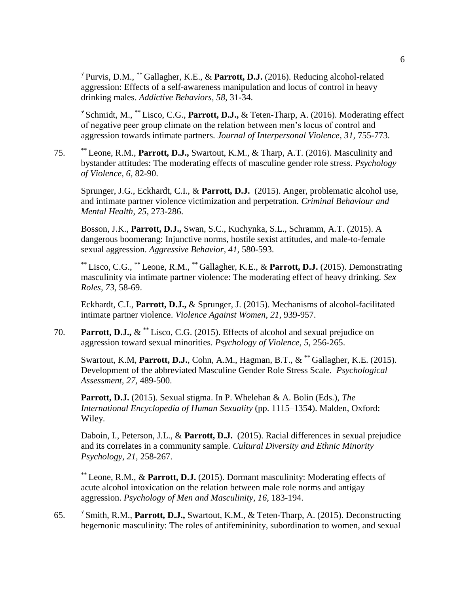*†* Purvis, D.M., \*\* Gallagher, K.E., & **Parrott, D.J.** (2016). Reducing alcohol-related aggression: Effects of a self-awareness manipulation and locus of control in heavy drinking males. *Addictive Behaviors, 58,* 31-34.

*†* Schmidt, M., \*\* Lisco, C.G., **Parrott, D.J.,** & Teten-Tharp, A. (2016). Moderating effect of negative peer group climate on the relation between men's locus of control and aggression towards intimate partners. *Journal of Interpersonal Violence, 31,* 755-773.

75. \*\* Leone, R.M., **Parrott, D.J.,** Swartout, K.M., & Tharp, A.T. (2016). Masculinity and bystander attitudes: The moderating effects of masculine gender role stress. *Psychology of Violence, 6,* 82-90.

Sprunger, J.G., Eckhardt, C.I., & **Parrott, D.J.** (2015). Anger, problematic alcohol use, and intimate partner violence victimization and perpetration. *Criminal Behaviour and Mental Health, 25,* 273-286.

Bosson, J.K., **Parrott, D.J.,** Swan, S.C., Kuchynka, S.L., Schramm, A.T. (2015). A dangerous boomerang: Injunctive norms, hostile sexist attitudes, and male-to-female sexual aggression. *Aggressive Behavior, 41,* 580-593.

\*\* Lisco, C.G., \*\* Leone, R.M., \*\* Gallagher, K.E., & **Parrott, D.J.** (2015). Demonstrating masculinity via intimate partner violence: The moderating effect of heavy drinking. *Sex Roles, 73,* 58-69.

Eckhardt, C.I., **Parrott, D.J.,** & Sprunger, J. (2015). Mechanisms of alcohol-facilitated intimate partner violence. *Violence Against Women, 21,* 939-957.

70. **Parrott, D.J.,** & \*\* Lisco, C.G. (2015). Effects of alcohol and sexual prejudice on aggression toward sexual minorities. *Psychology of Violence, 5,* 256-265.

Swartout, K.M, **Parrott, D.J.**, Cohn, A.M., Hagman, B.T., & \*\* Gallagher, K.E. (2015). Development of the abbreviated Masculine Gender Role Stress Scale. *Psychological Assessment, 27,* 489-500.

**Parrott, D.J.** (2015). Sexual stigma. In P. Whelehan & A. Bolin (Eds.), *The International Encyclopedia of Human Sexuality* (pp. 1115–1354). Malden, Oxford: Wiley.

Daboin, I., Peterson, J.L., & **Parrott, D.J.** (2015). Racial differences in sexual prejudice and its correlates in a community sample. *Cultural Diversity and Ethnic Minority Psychology, 21,* 258-267.

\*\* Leone, R.M., & **Parrott, D.J.** (2015). Dormant masculinity: Moderating effects of acute alcohol intoxication on the relation between male role norms and antigay aggression. *Psychology of Men and Masculinity, 16,* 183-194.

65. *†* Smith, R.M., **Parrott, D.J.,** Swartout, K.M., & Teten-Tharp, A. (2015). Deconstructing hegemonic masculinity: The roles of antifemininity, subordination to women, and sexual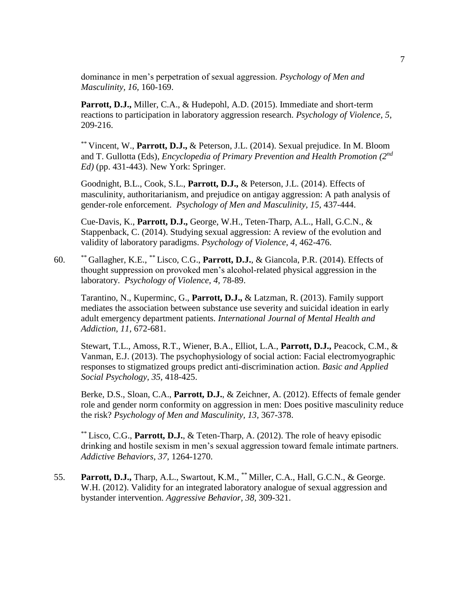dominance in men's perpetration of sexual aggression. *Psychology of Men and Masculinity, 16,* 160-169.

**Parrott, D.J.,** Miller, C.A., & Hudepohl, A.D. (2015). Immediate and short-term reactions to participation in laboratory aggression research. *Psychology of Violence, 5,* 209-216.

\*\* Vincent, W., **Parrott, D.J.,** & Peterson, J.L. (2014). Sexual prejudice. In M. Bloom and T. Gullotta (Eds), *Encyclopedia of Primary Prevention and Health Promotion (2nd Ed)* (pp. 431-443). New York: Springer.

Goodnight, B.L., Cook, S.L., **Parrott, D.J.,** & Peterson, J.L. (2014). Effects of masculinity, authoritarianism, and prejudice on antigay aggression: A path analysis of gender-role enforcement. *Psychology of Men and Masculinity, 15,* 437-444.

Cue-Davis, K., **Parrott, D.J.,** George, W.H., Teten-Tharp, A.L., Hall, G.C.N., & Stappenback, C. (2014). Studying sexual aggression: A review of the evolution and validity of laboratory paradigms. *Psychology of Violence, 4,* 462-476.

60. \*\* Gallagher, K.E., \*\* Lisco, C.G., **Parrott, D.J.**, & Giancola, P.R. (2014). Effects of thought suppression on provoked men's alcohol-related physical aggression in the laboratory. *Psychology of Violence, 4,* 78-89.

Tarantino, N., Kuperminc, G., **Parrott, D.J.,** & Latzman, R. (2013). Family support mediates the association between substance use severity and suicidal ideation in early adult emergency department patients. *International Journal of Mental Health and Addiction, 11,* 672-681.

Stewart, T.L., Amoss, R.T., Wiener, B.A., Elliot, L.A., **Parrott, D.J.,** Peacock, C.M., & Vanman, E.J. (2013). The psychophysiology of social action: Facial electromyographic responses to stigmatized groups predict anti-discrimination action. *Basic and Applied Social Psychology, 35,* 418-425.

Berke, D.S., Sloan, C.A., **Parrott, D.J.**, & Zeichner, A. (2012). Effects of female gender role and gender norm conformity on aggression in men: Does positive masculinity reduce the risk? *Psychology of Men and Masculinity, 13,* 367-378.

\*\* Lisco, C.G., **Parrott, D.J.**, & Teten-Tharp, A. (2012). The role of heavy episodic drinking and hostile sexism in men's sexual aggression toward female intimate partners. *Addictive Behaviors, 37,* 1264-1270.

55. **Parrott, D.J.,** Tharp, A.L., Swartout, K.M., \*\* Miller, C.A., Hall, G.C.N., & George. W.H. (2012). Validity for an integrated laboratory analogue of sexual aggression and bystander intervention. *Aggressive Behavior, 38,* 309-321.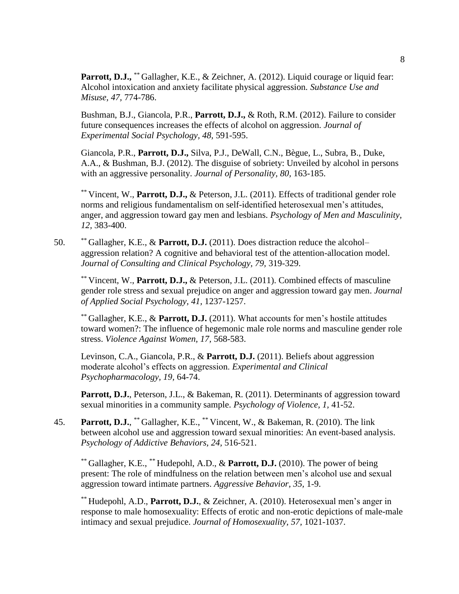**Parrott, D.J.,** \*\* Gallagher, K.E., & Zeichner, A. (2012). Liquid courage or liquid fear: Alcohol intoxication and anxiety facilitate physical aggression. *Substance Use and Misuse, 47,* 774-786.

Bushman, B.J., Giancola, P.R., **Parrott, D.J.,** & Roth, R.M. (2012). Failure to consider future consequences increases the effects of alcohol on aggression. *Journal of Experimental Social Psychology, 48,* 591-595.

Giancola, P.R., **Parrott, D.J.,** Silva, P.J., DeWall, C.N., Bègue, L., Subra, B., Duke, A.A., & Bushman, B.J. (2012). The disguise of sobriety: Unveiled by alcohol in persons with an aggressive personality. *Journal of Personality, 80,* 163-185.

\*\* Vincent, W., **Parrott, D.J.,** & Peterson, J.L. (2011). Effects of traditional gender role norms and religious fundamentalism on self-identified heterosexual men's attitudes, anger, and aggression toward gay men and lesbians. *Psychology of Men and Masculinity, 12,* 383-400.

50. \*\* Gallagher, K.E., & **Parrott, D.J.** (2011). Does distraction reduce the alcohol– aggression relation? A cognitive and behavioral test of the attention-allocation model. *Journal of Consulting and Clinical Psychology, 79,* 319-329.

\*\* Vincent, W., **Parrott, D.J.,** & Peterson, J.L. (2011). Combined effects of masculine gender role stress and sexual prejudice on anger and aggression toward gay men. *Journal of Applied Social Psychology, 41,* 1237-1257.

\*\* Gallagher, K.E., & **Parrott, D.J.** (2011). What accounts for men's hostile attitudes toward women?: The influence of hegemonic male role norms and masculine gender role stress. *Violence Against Women, 17,* 568-583.

Levinson, C.A., Giancola, P.R., & **Parrott, D.J.** (2011). Beliefs about aggression moderate alcohol's effects on aggression. *Experimental and Clinical Psychopharmacology, 19,* 64-74.

Parrott, D.J., Peterson, J.L., & Bakeman, R. (2011). Determinants of aggression toward sexual minorities in a community sample. *Psychology of Violence, 1,* 41-52.

45. **Parrott, D.J.**, \*\* Gallagher, K.E., \*\* Vincent, W., & Bakeman, R. (2010). The link between alcohol use and aggression toward sexual minorities: An event-based analysis. *Psychology of Addictive Behaviors, 24,* 516-521.

\*\* Gallagher, K.E., \*\* Hudepohl, A.D., & **Parrott, D.J.** (2010). The power of being present: The role of mindfulness on the relation between men's alcohol use and sexual aggression toward intimate partners. *Aggressive Behavior, 35,* 1-9.

\*\* Hudepohl, A.D., **Parrott, D.J.**, & Zeichner, A. (2010). Heterosexual men's anger in response to male homosexuality: Effects of erotic and non-erotic depictions of male-male intimacy and sexual prejudice. *Journal of Homosexuality, 57,* 1021-1037.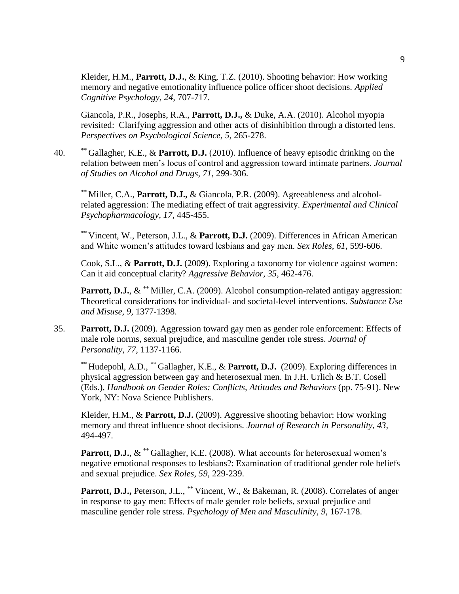Kleider, H.M., **Parrott, D.J.**, & King, T.Z. (2010). Shooting behavior: How working memory and negative emotionality influence police officer shoot decisions. *Applied Cognitive Psychology, 24,* 707-717.

Giancola, P.R., Josephs, R.A., **Parrott, D.J.,** & Duke, A.A. (2010). Alcohol myopia revisited: Clarifying aggression and other acts of disinhibition through a distorted lens. *Perspectives on Psychological Science, 5,* 265-278.

40. \*\* Gallagher, K.E., & **Parrott, D.J.** (2010). Influence of heavy episodic drinking on the relation between men's locus of control and aggression toward intimate partners. *Journal of Studies on Alcohol and Drugs, 71,* 299-306.

\*\* Miller, C.A., **Parrott, D.J.,** & Giancola, P.R. (2009). Agreeableness and alcoholrelated aggression: The mediating effect of trait aggressivity. *Experimental and Clinical Psychopharmacology, 17,* 445-455.

\*\* Vincent, W., Peterson, J.L., & **Parrott, D.J.** (2009). Differences in African American and White women's attitudes toward lesbians and gay men. *Sex Roles, 61,* 599-606.

Cook, S.L., & **Parrott, D.J.** (2009). Exploring a taxonomy for violence against women: Can it aid conceptual clarity? *Aggressive Behavior, 35,* 462-476.

**Parrott, D.J.**,  $\&$ <sup>\*\*</sup> Miller, C.A. (2009). Alcohol consumption-related antigay aggression: Theoretical considerations for individual- and societal-level interventions. *Substance Use and Misuse, 9,* 1377-1398.

35. **Parrott, D.J.** (2009). Aggression toward gay men as gender role enforcement: Effects of male role norms, sexual prejudice, and masculine gender role stress. *Journal of Personality, 77,* 1137-1166.

\*\* Hudepohl, A.D., \*\* Gallagher, K.E., & **Parrott, D.J.** (2009). Exploring differences in physical aggression between gay and heterosexual men. In J.H. Urlich & B.T. Cosell (Eds.), *Handbook on Gender Roles: Conflicts, Attitudes and Behaviors* (pp. 75-91). New York, NY: Nova Science Publishers.

Kleider, H.M., & **Parrott, D.J.** (2009). Aggressive shooting behavior: How working memory and threat influence shoot decisions. *Journal of Research in Personality, 43,*  494-497.

**Parrott, D.J.**,  $\&$ <sup>\*\*</sup> Gallagher, K.E. (2008). What accounts for heterosexual women's negative emotional responses to lesbians?: Examination of traditional gender role beliefs and sexual prejudice. *Sex Roles, 59,* 229-239.

Parrott, D.J., Peterson, J.L., \*\* Vincent, W., & Bakeman, R. (2008). Correlates of anger in response to gay men: Effects of male gender role beliefs, sexual prejudice and masculine gender role stress. *Psychology of Men and Masculinity, 9,* 167-178.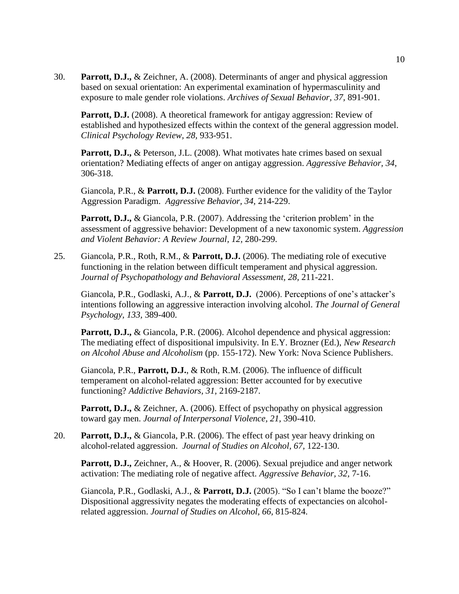30. **Parrott, D.J.,** & Zeichner, A. (2008). Determinants of anger and physical aggression based on sexual orientation: An experimental examination of hypermasculinity and exposure to male gender role violations. *Archives of Sexual Behavior, 37,* 891-901.

**Parrott, D.J.** (2008). A theoretical framework for antigay aggression: Review of established and hypothesized effects within the context of the general aggression model. *Clinical Psychology Review, 28,* 933-951.

**Parrott, D.J., & Peterson, J.L. (2008). What motivates hate crimes based on sexual** orientation? Mediating effects of anger on antigay aggression. *Aggressive Behavior, 34,* 306-318.

Giancola, P.R., & **Parrott, D.J.** (2008). Further evidence for the validity of the Taylor Aggression Paradigm. *Aggressive Behavior, 34,* 214-229.

**Parrott, D.J.,** & Giancola, P.R. (2007). Addressing the 'criterion problem' in the assessment of aggressive behavior: Development of a new taxonomic system. *Aggression and Violent Behavior: A Review Journal, 12,* 280-299.

25. Giancola, P.R., Roth, R.M., & **Parrott, D.J.** (2006). The mediating role of executive functioning in the relation between difficult temperament and physical aggression. *Journal of Psychopathology and Behavioral Assessment, 28,* 211-221.

Giancola, P.R., Godlaski, A.J., & **Parrott, D.J.** (2006). Perceptions of one's attacker's intentions following an aggressive interaction involving alcohol. *The Journal of General Psychology, 133,* 389-400.

**Parrott, D.J.,** & Giancola, P.R. (2006). Alcohol dependence and physical aggression: The mediating effect of dispositional impulsivity. In E.Y. Brozner (Ed.), *New Research on Alcohol Abuse and Alcoholism* (pp. 155-172). New York: Nova Science Publishers.

Giancola, P.R., **Parrott, D.J.**, & Roth, R.M. (2006). The influence of difficult temperament on alcohol-related aggression: Better accounted for by executive functioning? *Addictive Behaviors, 31,* 2169-2187.

Parrott, D.J., & Zeichner, A. (2006). Effect of psychopathy on physical aggression toward gay men. *Journal of Interpersonal Violence, 21,* 390-410.

20. **Parrott, D.J.,** & Giancola, P.R. (2006). The effect of past year heavy drinking on alcohol-related aggression. *Journal of Studies on Alcohol, 67,* 122-130.

**Parrott, D.J.,** Zeichner, A., & Hoover, R. (2006). Sexual prejudice and anger network activation: The mediating role of negative affect. *Aggressive Behavior, 32,* 7-16.

Giancola, P.R., Godlaski, A.J., & **Parrott, D.J.** (2005). "So I can't blame the booze?" Dispositional aggressivity negates the moderating effects of expectancies on alcoholrelated aggression. *Journal of Studies on Alcohol, 66,* 815-824.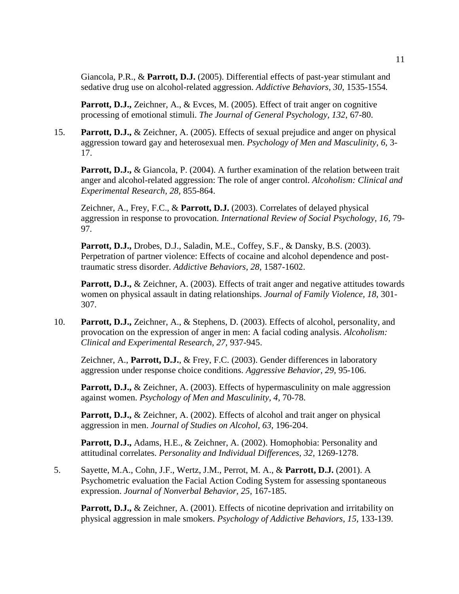Giancola, P.R., & **Parrott, D.J.** (2005). Differential effects of past-year stimulant and sedative drug use on alcohol-related aggression. *Addictive Behaviors, 30,* 1535-1554*.*

**Parrott, D.J.,** Zeichner, A., & Evces, M. (2005). Effect of trait anger on cognitive processing of emotional stimuli. *The Journal of General Psychology, 132,* 67-80.

15. **Parrott, D.J.,** & Zeichner, A. (2005). Effects of sexual prejudice and anger on physical aggression toward gay and heterosexual men. *Psychology of Men and Masculinity, 6,* 3- 17.

**Parrott, D.J., & Giancola, P. (2004). A further examination of the relation between trait** anger and alcohol-related aggression: The role of anger control. *Alcoholism: Clinical and Experimental Research, 28,* 855-864.

Zeichner, A., Frey, F.C., & **Parrott, D.J.** (2003). Correlates of delayed physical aggression in response to provocation. *International Review of Social Psychology, 16,* 79- 97*.*

**Parrott, D.J.,** Drobes, D.J., Saladin, M.E., Coffey, S.F., & Dansky, B.S. (2003). Perpetration of partner violence: Effects of cocaine and alcohol dependence and posttraumatic stress disorder. *Addictive Behaviors, 28,* 1587-1602.

Parrott, D.J., & Zeichner, A. (2003). Effects of trait anger and negative attitudes towards women on physical assault in dating relationships. *Journal of Family Violence, 18,* 301- 307.

10. **Parrott, D.J.,** Zeichner, A., & Stephens, D. (2003). Effects of alcohol, personality, and provocation on the expression of anger in men: A facial coding analysis. *Alcoholism: Clinical and Experimental Research, 27,* 937-945.

Zeichner, A., **Parrott, D.J.**, & Frey, F.C. (2003). Gender differences in laboratory aggression under response choice conditions. *Aggressive Behavior, 29,* 95-106.

**Parrott, D.J., & Zeichner, A. (2003). Effects of hypermasculinity on male aggression** against women. *Psychology of Men and Masculinity, 4,* 70-78.

Parrott, D.J., & Zeichner, A. (2002). Effects of alcohol and trait anger on physical aggression in men. *Journal of Studies on Alcohol, 63,* 196-204.

Parrott, D.J., Adams, H.E., & Zeichner, A. (2002). Homophobia: Personality and attitudinal correlates. *Personality and Individual Differences, 32,* 1269-1278.

5. Sayette, M.A., Cohn, J.F., Wertz, J.M., Perrot, M. A., & **Parrott, D.J.** (2001). A Psychometric evaluation the Facial Action Coding System for assessing spontaneous expression. *Journal of Nonverbal Behavior, 25,* 167-185.

**Parrott, D.J.,** & Zeichner, A. (2001). Effects of nicotine deprivation and irritability on physical aggression in male smokers. *Psychology of Addictive Behaviors, 15,* 133-139.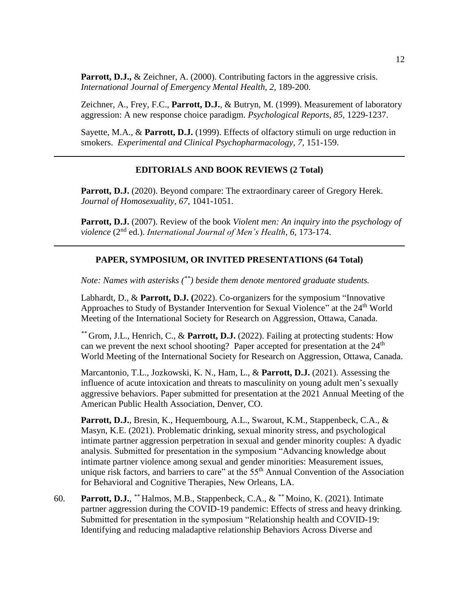**Parrott, D.J., & Zeichner, A. (2000). Contributing factors in the aggressive crisis.** *International Journal of Emergency Mental Health, 2,* 189-200.

Zeichner, A., Frey, F.C., **Parrott, D.J.**, & Butryn, M. (1999). Measurement of laboratory aggression: A new response choice paradigm. *Psychological Reports, 85,* 1229-1237.

Sayette, M.A., & **Parrott, D.J.** (1999). Effects of olfactory stimuli on urge reduction in smokers. *Experimental and Clinical Psychopharmacology, 7,* 151-159.

#### **EDITORIALS AND BOOK REVIEWS (2 Total)**

**Parrott, D.J.** (2020). Beyond compare: The extraordinary career of Gregory Herek. *Journal of Homosexuality, 67*, 1041-1051.

**Parrott, D.J.** (2007). Review of the book *Violent men: An inquiry into the psychology of violence* (2 nd ed.). *International Journal of Men's Health, 6,* 173-174.

### **PAPER, SYMPOSIUM, OR INVITED PRESENTATIONS (64 Total)**

*Note: Names with asterisks (\*\*) beside them denote mentored graduate students.*

Labhardt, D., & **Parrott, D.J. (**2022). Co-organizers for the symposium "Innovative Approaches to Study of Bystander Intervention for Sexual Violence" at the 24<sup>th</sup> World Meeting of the International Society for Research on Aggression, Ottawa, Canada.

*\*\** Grom, J.L., Henrich, C., & **Parrott, D.J.** (2022). Failing at protecting students: How can we prevent the next school shooting? Paper accepted for presentation at the  $24<sup>th</sup>$ World Meeting of the International Society for Research on Aggression, Ottawa, Canada.

Marcantonio, T.L., Jozkowski, K. N., Ham, L., & **Parrott, D.J.** (2021). Assessing the influence of acute intoxication and threats to masculinity on young adult men's sexually aggressive behaviors. Paper submitted for presentation at the 2021 Annual Meeting of the American Public Health Association, Denver, CO.

Parrott, D.J., Bresin, K., Hequembourg, A.L., Swarout, K.M., Stappenbeck, C.A., & Masyn, K.E. (2021). Problematic drinking, sexual minority stress, and psychological intimate partner aggression perpetration in sexual and gender minority couples: A dyadic analysis. Submitted for presentation in the symposium "Advancing knowledge about intimate partner violence among sexual and gender minorities: Measurement issues, unique risk factors, and barriers to care" at the 55<sup>th</sup> Annual Convention of the Association for Behavioral and Cognitive Therapies, New Orleans, LA.

60. **Parrott, D.J.**, *\*\** Halmos, M.B., Stappenbeck, C.A., & *\*\** Moino, K. (2021). Intimate partner aggression during the COVID-19 pandemic: Effects of stress and heavy drinking. Submitted for presentation in the symposium "Relationship health and COVID-19: Identifying and reducing maladaptive relationship Behaviors Across Diverse and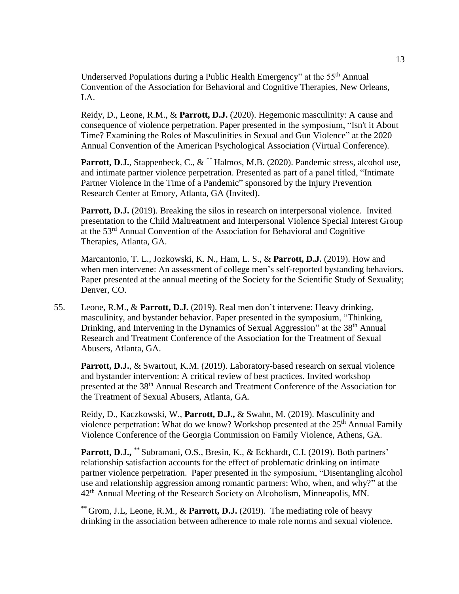Underserved Populations during a Public Health Emergency" at the 55th Annual Convention of the Association for Behavioral and Cognitive Therapies, New Orleans, LA.

Reidy, D., Leone, R.M., & **Parrott, D.J.** (2020). Hegemonic masculinity: A cause and consequence of violence perpetration. Paper presented in the symposium, "Isn't it About Time? Examining the Roles of Masculinities in Sexual and Gun Violence" at the 2020 Annual Convention of the American Psychological Association (Virtual Conference).

**Parrott, D.J.**, Stappenbeck, C., & *\*\** Halmos, M.B. (2020). Pandemic stress, alcohol use, and intimate partner violence perpetration. Presented as part of a panel titled, "Intimate Partner Violence in the Time of a Pandemic" sponsored by the Injury Prevention Research Center at Emory, Atlanta, GA (Invited).

**Parrott, D.J.** (2019). Breaking the silos in research on interpersonal violence. Invited presentation to the Child Maltreatment and Interpersonal Violence Special Interest Group at the 53rd Annual Convention of the Association for Behavioral and Cognitive Therapies, Atlanta, GA.

Marcantonio, T. L., Jozkowski, K. N., Ham, L. S., & **Parrott, D.J.** (2019). How and when men intervene: An assessment of college men's self-reported bystanding behaviors. Paper presented at the annual meeting of the Society for the Scientific Study of Sexuality; Denver, CO.

55. Leone, R.M., & **Parrott, D.J.** (2019). Real men don't intervene: Heavy drinking, masculinity, and bystander behavior. Paper presented in the symposium, "Thinking, Drinking, and Intervening in the Dynamics of Sexual Aggression" at the 38<sup>th</sup> Annual Research and Treatment Conference of the Association for the Treatment of Sexual Abusers, Atlanta, GA.

Parrott, D.J., & Swartout, K.M. (2019). Laboratory-based research on sexual violence and bystander intervention: A critical review of best practices. Invited workshop presented at the 38th Annual Research and Treatment Conference of the Association for the Treatment of Sexual Abusers, Atlanta, GA.

Reidy, D., Kaczkowski, W., **Parrott, D.J.,** & Swahn, M. (2019). Masculinity and violence perpetration: What do we know? Workshop presented at the 25<sup>th</sup> Annual Family Violence Conference of the Georgia Commission on Family Violence, Athens, GA.

Parrott, D.J., \*\* Subramani, O.S., Bresin, K., & Eckhardt, C.I. (2019). Both partners' relationship satisfaction accounts for the effect of problematic drinking on intimate partner violence perpetration. Paper presented in the symposium, "Disentangling alcohol use and relationship aggression among romantic partners: Who, when, and why?" at the 42<sup>th</sup> Annual Meeting of the Research Society on Alcoholism, Minneapolis, MN.

\*\* Grom, J.L, Leone, R.M., & **Parrott, D.J.** (2019). The mediating role of heavy drinking in the association between adherence to male role norms and sexual violence.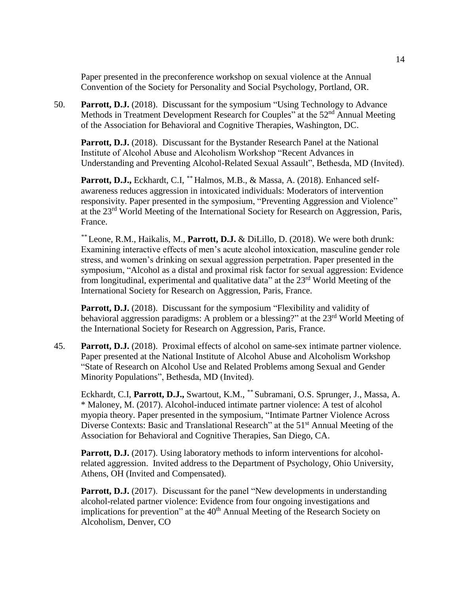Paper presented in the preconference workshop on sexual violence at the Annual Convention of the Society for Personality and Social Psychology, Portland, OR.

50. **Parrott, D.J.** (2018). Discussant for the symposium "Using Technology to Advance Methods in Treatment Development Research for Couples" at the 52nd Annual Meeting of the Association for Behavioral and Cognitive Therapies, Washington, DC.

**Parrott, D.J.** (2018). Discussant for the Bystander Research Panel at the National Institute of Alcohol Abuse and Alcoholism Workshop "Recent Advances in Understanding and Preventing Alcohol-Related Sexual Assault", Bethesda, MD (Invited).

**Parrott, D.J.,** Eckhardt, C.I, *\*\** Halmos, M.B., & Massa, A. (2018). Enhanced selfawareness reduces aggression in intoxicated individuals: Moderators of intervention responsivity. Paper presented in the symposium, "Preventing Aggression and Violence" at the 23rd World Meeting of the International Society for Research on Aggression, Paris, France.

*\*\** Leone, R.M., Haikalis, M., **Parrott, D.J.** & DiLillo, D. (2018). We were both drunk: Examining interactive effects of men's acute alcohol intoxication, masculine gender role stress, and women's drinking on sexual aggression perpetration. Paper presented in the symposium, "Alcohol as a distal and proximal risk factor for sexual aggression: Evidence from longitudinal, experimental and qualitative data" at the  $23<sup>rd</sup>$  World Meeting of the International Society for Research on Aggression, Paris, France.

**Parrott, D.J.** (2018). Discussant for the symposium "Flexibility and validity of behavioral aggression paradigms: A problem or a blessing?" at the 23<sup>rd</sup> World Meeting of the International Society for Research on Aggression, Paris, France.

45. **Parrott, D.J.** (2018). Proximal effects of alcohol on same-sex intimate partner violence. Paper presented at the National Institute of Alcohol Abuse and Alcoholism Workshop "State of Research on Alcohol Use and Related Problems among Sexual and Gender Minority Populations", Bethesda, MD (Invited).

Eckhardt, C.I, **Parrott, D.J.,** Swartout, K.M., *\*\** Subramani, O.S. Sprunger, J., Massa, A. \* Maloney, M. (2017). Alcohol-induced intimate partner violence: A test of alcohol myopia theory. Paper presented in the symposium, "Intimate Partner Violence Across Diverse Contexts: Basic and Translational Research" at the 51<sup>st</sup> Annual Meeting of the Association for Behavioral and Cognitive Therapies, San Diego, CA.

**Parrott, D.J.** (2017). Using laboratory methods to inform interventions for alcoholrelated aggression. Invited address to the Department of Psychology, Ohio University, Athens, OH (Invited and Compensated).

**Parrott, D.J.** (2017). Discussant for the panel "New developments in understanding alcohol-related partner violence: Evidence from four ongoing investigations and implications for prevention" at the 40<sup>th</sup> Annual Meeting of the Research Society on Alcoholism, Denver, CO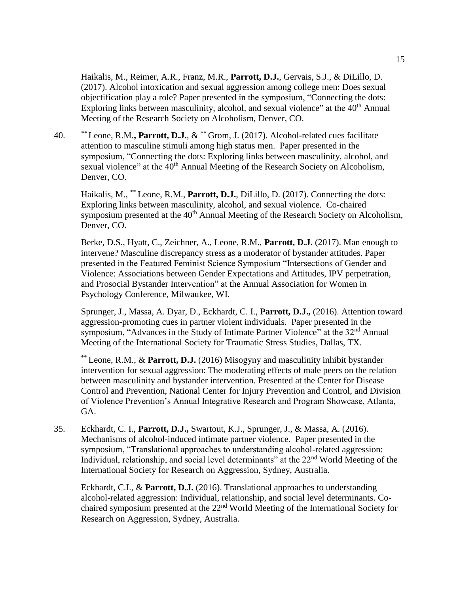Haikalis, M., Reimer, A.R., Franz, M.R., **Parrott, D.J.**, Gervais, S.J., & DiLillo, D. (2017). Alcohol intoxication and sexual aggression among college men: Does sexual objectification play a role? Paper presented in the symposium, "Connecting the dots: Exploring links between masculinity, alcohol, and sexual violence" at the 40<sup>th</sup> Annual Meeting of the Research Society on Alcoholism, Denver, CO.

40. *\*\** Leone, R.M.**, Parrott, D.J.**, & \*\* Grom, J. (2017). Alcohol-related cues facilitate attention to masculine stimuli among high status men. Paper presented in the symposium, "Connecting the dots: Exploring links between masculinity, alcohol, and sexual violence" at the 40<sup>th</sup> Annual Meeting of the Research Society on Alcoholism, Denver, CO.

Haikalis, M., \*\* Leone, R.M., **Parrott, D.J.**, DiLillo, D. (2017). Connecting the dots: Exploring links between masculinity, alcohol, and sexual violence. Co-chaired symposium presented at the 40<sup>th</sup> Annual Meeting of the Research Society on Alcoholism, Denver, CO.

Berke, D.S., Hyatt, C., Zeichner, A., Leone, R.M., **Parrott, D.J.** (2017). Man enough to intervene? Masculine discrepancy stress as a moderator of bystander attitudes. Paper presented in the Featured Feminist Science Symposium "Intersections of Gender and Violence: Associations between Gender Expectations and Attitudes, IPV perpetration, and Prosocial Bystander Intervention" at the Annual Association for Women in Psychology Conference, Milwaukee, WI.

Sprunger, J., Massa, A. Dyar, D., Eckhardt, C. I., **Parrott, D.J.,** (2016). Attention toward aggression-promoting cues in partner violent individuals. Paper presented in the symposium, "Advances in the Study of Intimate Partner Violence" at the 32<sup>nd</sup> Annual Meeting of the International Society for Traumatic Stress Studies, Dallas, TX.

\*\* Leone, R.M., & **Parrott, D.J.** (2016) Misogyny and masculinity inhibit bystander intervention for sexual aggression: The moderating effects of male peers on the relation between masculinity and bystander intervention. Presented at the Center for Disease Control and Prevention, National Center for Injury Prevention and Control, and Division of Violence Prevention's Annual Integrative Research and Program Showcase, Atlanta, GA.

35. Eckhardt, C. I., **Parrott, D.J.,** Swartout, K.J., Sprunger, J., & Massa, A. (2016). Mechanisms of alcohol-induced intimate partner violence. Paper presented in the symposium, "Translational approaches to understanding alcohol-related aggression: Individual, relationship, and social level determinants" at the 22<sup>nd</sup> World Meeting of the International Society for Research on Aggression, Sydney, Australia.

Eckhardt, C.I., & **Parrott, D.J.** (2016). Translational approaches to understanding alcohol-related aggression: Individual, relationship, and social level determinants. Cochaired symposium presented at the 22<sup>nd</sup> World Meeting of the International Society for Research on Aggression, Sydney, Australia.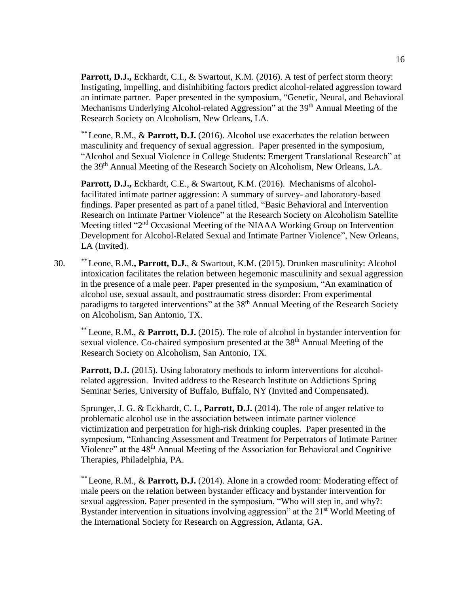Parrott, D.J., Eckhardt, C.I., & Swartout, K.M. (2016). A test of perfect storm theory: Instigating, impelling, and disinhibiting factors predict alcohol-related aggression toward an intimate partner. Paper presented in the symposium, "Genetic, Neural, and Behavioral Mechanisms Underlying Alcohol-related Aggression" at the 39<sup>th</sup> Annual Meeting of the Research Society on Alcoholism, New Orleans, LA.

*\*\** Leone, R.M., & **Parrott, D.J.** (2016). Alcohol use exacerbates the relation between masculinity and frequency of sexual aggression. Paper presented in the symposium, "Alcohol and Sexual Violence in College Students: Emergent Translational Research" at the 39<sup>th</sup> Annual Meeting of the Research Society on Alcoholism, New Orleans, LA.

**Parrott, D.J.,** Eckhardt, C.E., & Swartout, K.M. (2016). Mechanisms of alcoholfacilitated intimate partner aggression: A summary of survey- and laboratory-based findings. Paper presented as part of a panel titled, "Basic Behavioral and Intervention Research on Intimate Partner Violence" at the Research Society on Alcoholism Satellite Meeting titled "2<sup>nd</sup> Occasional Meeting of the NIAAA Working Group on Intervention Development for Alcohol-Related Sexual and Intimate Partner Violence", New Orleans, LA (Invited).

30. *\*\** Leone, R.M.**, Parrott, D.J.**, & Swartout, K.M. (2015). Drunken masculinity: Alcohol intoxication facilitates the relation between hegemonic masculinity and sexual aggression in the presence of a male peer. Paper presented in the symposium, "An examination of alcohol use, sexual assault, and posttraumatic stress disorder: From experimental paradigms to targeted interventions" at the 38<sup>th</sup> Annual Meeting of the Research Society on Alcoholism, San Antonio, TX.

\*\* Leone, R.M., & **Parrott, D.J.** (2015). The role of alcohol in bystander intervention for sexual violence. Co-chaired symposium presented at the 38<sup>th</sup> Annual Meeting of the Research Society on Alcoholism, San Antonio, TX.

Parrott, D.J. (2015). Using laboratory methods to inform interventions for alcoholrelated aggression. Invited address to the Research Institute on Addictions Spring Seminar Series, University of Buffalo, Buffalo, NY (Invited and Compensated).

Sprunger, J. G. & Eckhardt, C. I., **Parrott, D.J.** (2014). The role of anger relative to problematic alcohol use in the association between intimate partner violence victimization and perpetration for high-risk drinking couples. Paper presented in the symposium, "Enhancing Assessment and Treatment for Perpetrators of Intimate Partner Violence" at the 48th Annual Meeting of the Association for Behavioral and Cognitive Therapies, Philadelphia, PA.

*\*\** Leone, R.M., & **Parrott, D.J.** (2014). Alone in a crowded room: Moderating effect of male peers on the relation between bystander efficacy and bystander intervention for sexual aggression. Paper presented in the symposium, "Who will step in, and why?: Bystander intervention in situations involving aggression" at the 21<sup>st</sup> World Meeting of the International Society for Research on Aggression, Atlanta, GA.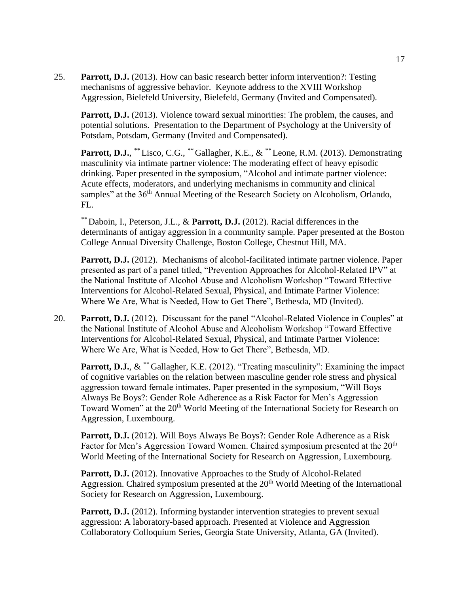25. **Parrott, D.J.** (2013). How can basic research better inform intervention?: Testing mechanisms of aggressive behavior. Keynote address to the XVIII Workshop Aggression, Bielefeld University, Bielefeld, Germany (Invited and Compensated).

**Parrott, D.J.** (2013). Violence toward sexual minorities: The problem, the causes, and potential solutions. Presentation to the Department of Psychology at the University of Potsdam, Potsdam, Germany (Invited and Compensated).

**Parrott, D.J.**, *\*\** Lisco, C.G., *\*\** Gallagher, K.E., & *\*\** Leone, R.M. (2013). Demonstrating masculinity via intimate partner violence: The moderating effect of heavy episodic drinking. Paper presented in the symposium, "Alcohol and intimate partner violence: Acute effects, moderators, and underlying mechanisms in community and clinical samples" at the 36<sup>th</sup> Annual Meeting of the Research Society on Alcoholism, Orlando,  $FL.$ 

*\*\** Daboin, I., Peterson, J.L., & **Parrott, D.J.** (2012). Racial differences in the determinants of antigay aggression in a community sample. Paper presented at the Boston College Annual Diversity Challenge, Boston College, Chestnut Hill, MA.

Parrott, D.J. (2012). Mechanisms of alcohol-facilitated intimate partner violence. Paper presented as part of a panel titled, "Prevention Approaches for Alcohol-Related IPV" at the National Institute of Alcohol Abuse and Alcoholism Workshop "Toward Effective Interventions for Alcohol-Related Sexual, Physical, and Intimate Partner Violence: Where We Are, What is Needed, How to Get There", Bethesda, MD (Invited).

20. **Parrott, D.J.** (2012). Discussant for the panel "Alcohol-Related Violence in Couples" at the National Institute of Alcohol Abuse and Alcoholism Workshop "Toward Effective Interventions for Alcohol-Related Sexual, Physical, and Intimate Partner Violence: Where We Are, What is Needed, How to Get There", Bethesda, MD.

**Parrott, D.J.**, & *\*\** Gallagher, K.E. (2012). "Treating masculinity": Examining the impact of cognitive variables on the relation between masculine gender role stress and physical aggression toward female intimates. Paper presented in the symposium, "Will Boys Always Be Boys?: Gender Role Adherence as a Risk Factor for Men's Aggression Toward Women" at the 20<sup>th</sup> World Meeting of the International Society for Research on Aggression, Luxembourg.

**Parrott, D.J.** (2012). Will Boys Always Be Boys?: Gender Role Adherence as a Risk Factor for Men's Aggression Toward Women. Chaired symposium presented at the 20<sup>th</sup> World Meeting of the International Society for Research on Aggression, Luxembourg.

**Parrott, D.J.** (2012). Innovative Approaches to the Study of Alcohol-Related Aggression. Chaired symposium presented at the  $20<sup>th</sup>$  World Meeting of the International Society for Research on Aggression, Luxembourg.

**Parrott, D.J.** (2012). Informing bystander intervention strategies to prevent sexual aggression: A laboratory-based approach. Presented at Violence and Aggression Collaboratory Colloquium Series, Georgia State University, Atlanta, GA (Invited).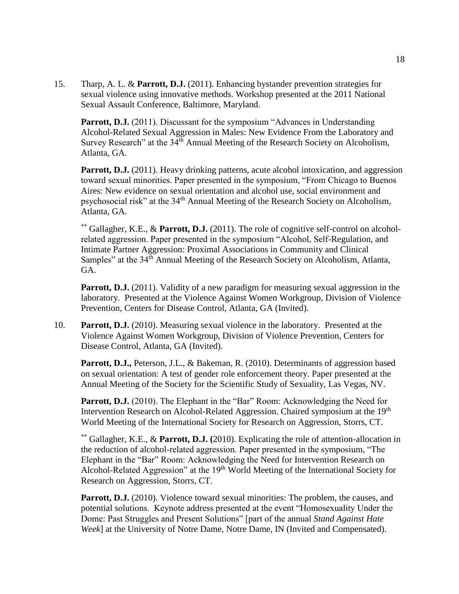15. Tharp, A. L. & **Parrott, D.J.** (2011). Enhancing bystander prevention strategies for sexual violence using innovative methods. Workshop presented at the 2011 National Sexual Assault Conference, Baltimore, Maryland.

**Parrott, D.J.** (2011). Discussant for the symposium "Advances in Understanding Alcohol-Related Sexual Aggression in Males: New Evidence From the Laboratory and Survey Research" at the  $34<sup>th</sup>$  Annual Meeting of the Research Society on Alcoholism, Atlanta, GA.

**Parrott, D.J.** (2011). Heavy drinking patterns, acute alcohol intoxication, and aggression toward sexual minorities. Paper presented in the symposium, "From Chicago to Buenos Aires: New evidence on sexual orientation and alcohol use, social environment and psychosocial risk" at the 34<sup>th</sup> Annual Meeting of the Research Society on Alcoholism, Atlanta, GA.

\*\* Gallagher, K.E., & **Parrott, D.J.** (2011). The role of cognitive self-control on alcoholrelated aggression. Paper presented in the symposium "Alcohol, Self-Regulation, and Intimate Partner Aggression: Proximal Associations in Community and Clinical Samples" at the 34<sup>th</sup> Annual Meeting of the Research Society on Alcoholism, Atlanta, GA.

**Parrott, D.J.** (2011). Validity of a new paradigm for measuring sexual aggression in the laboratory. Presented at the Violence Against Women Workgroup, Division of Violence Prevention, Centers for Disease Control, Atlanta, GA (Invited).

10. **Parrott, D.J.** (2010). Measuring sexual violence in the laboratory. Presented at the Violence Against Women Workgroup, Division of Violence Prevention, Centers for Disease Control, Atlanta, GA (Invited).

**Parrott, D.J., Peterson, J.L., & Bakeman, R. (2010). Determinants of aggression based** on sexual orientation: A test of gender role enforcement theory. Paper presented at the Annual Meeting of the Society for the Scientific Study of Sexuality, Las Vegas, NV.

**Parrott, D.J.** (2010). The Elephant in the "Bar" Room: Acknowledging the Need for Intervention Research on Alcohol-Related Aggression. Chaired symposium at the 19<sup>th</sup> World Meeting of the International Society for Research on Aggression, Storrs, CT.

\*\* Gallagher, K.E., & **Parrott, D.J. (**2010). Explicating the role of attention-allocation in the reduction of alcohol-related aggression. Paper presented in the symposium, "The Elephant in the "Bar" Room: Acknowledging the Need for Intervention Research on Alcohol-Related Aggression" at the  $19<sup>th</sup>$  World Meeting of the International Society for Research on Aggression, Storrs, CT.

**Parrott, D.J.** (2010). Violence toward sexual minorities: The problem, the causes, and potential solutions. Keynote address presented at the event "Homosexuality Under the Dome: Past Struggles and Present Solutions" [part of the annual *Stand Against Hate Week*] at the University of Notre Dame, Notre Dame, IN (Invited and Compensated).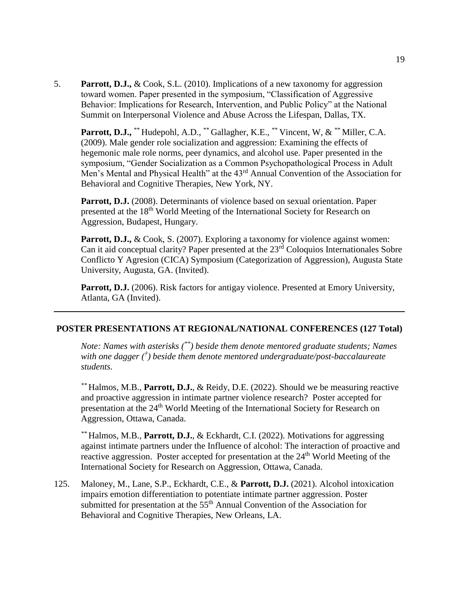5. **Parrott, D.J.,** & Cook, S.L. (2010). Implications of a new taxonomy for aggression toward women. Paper presented in the symposium, "Classification of Aggressive Behavior: Implications for Research, Intervention, and Public Policy" at the National Summit on Interpersonal Violence and Abuse Across the Lifespan, Dallas, TX.

Parrott, D.J., \*\* Hudepohl, A.D., \*\* Gallagher, K.E., \*\* Vincent, W, & \*\* Miller, C.A. (2009). Male gender role socialization and aggression: Examining the effects of hegemonic male role norms, peer dynamics, and alcohol use. Paper presented in the symposium, "Gender Socialization as a Common Psychopathological Process in Adult Men's Mental and Physical Health" at the 43<sup>rd</sup> Annual Convention of the Association for Behavioral and Cognitive Therapies, New York, NY.

**Parrott, D.J.** (2008). Determinants of violence based on sexual orientation. Paper presented at the 18<sup>th</sup> World Meeting of the International Society for Research on Aggression, Budapest, Hungary.

Parrott, D.J., & Cook, S. (2007). Exploring a taxonomy for violence against women: Can it aid conceptual clarity? Paper presented at the 23<sup>rd</sup> Coloquios Internationales Sobre Conflicto Y Agresion (CICA) Symposium (Categorization of Aggression), Augusta State University, Augusta, GA. (Invited).

Parrott, D.J. (2006). Risk factors for antigay violence. Presented at Emory University, Atlanta, GA (Invited).

### **POSTER PRESENTATIONS AT REGIONAL/NATIONAL CONFERENCES (127 Total)**

*Note: Names with asterisks (\*\*) beside them denote mentored graduate students; Names with one dagger († ) beside them denote mentored undergraduate/post-baccalaureate students.*

*\*\** Halmos, M.B., **Parrott, D.J.**, & Reidy, D.E. (2022). Should we be measuring reactive and proactive aggression in intimate partner violence research? Poster accepted for presentation at the 24<sup>th</sup> World Meeting of the International Society for Research on Aggression, Ottawa, Canada.

*\*\** Halmos, M.B., **Parrott, D.J.**, & Eckhardt, C.I. (2022). Motivations for aggressing against intimate partners under the Influence of alcohol: The interaction of proactive and reactive aggression. Poster accepted for presentation at the  $24<sup>th</sup>$  World Meeting of the International Society for Research on Aggression, Ottawa, Canada.

125. Maloney, M., Lane, S.P., Eckhardt, C.E., & **Parrott, D.J.** (2021). Alcohol intoxication impairs emotion differentiation to potentiate intimate partner aggression. Poster submitted for presentation at the  $55<sup>th</sup>$  Annual Convention of the Association for Behavioral and Cognitive Therapies, New Orleans, LA.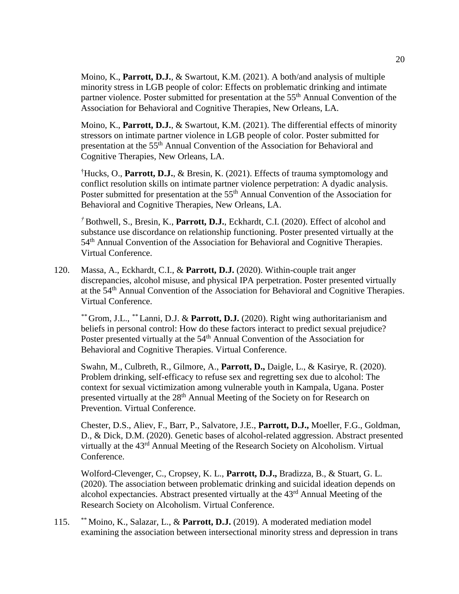Moino, K., **Parrott, D.J.**, & Swartout, K.M. (2021). A both/and analysis of multiple minority stress in LGB people of color: Effects on problematic drinking and intimate partner violence. Poster submitted for presentation at the 55<sup>th</sup> Annual Convention of the Association for Behavioral and Cognitive Therapies, New Orleans, LA.

Moino, K., **Parrott, D.J.**, & Swartout, K.M. (2021). The differential effects of minority stressors on intimate partner violence in LGB people of color. Poster submitted for presentation at the 55th Annual Convention of the Association for Behavioral and Cognitive Therapies, New Orleans, LA.

†Hucks, O., **Parrott, D.J.**, & Bresin, K. (2021). Effects of trauma symptomology and conflict resolution skills on intimate partner violence perpetration: A dyadic analysis. Poster submitted for presentation at the 55<sup>th</sup> Annual Convention of the Association for Behavioral and Cognitive Therapies, New Orleans, LA.

*†* Bothwell, S., Bresin, K., **Parrott, D.J.**, Eckhardt, C.I. (2020). Effect of alcohol and substance use discordance on relationship functioning. Poster presented virtually at the 54<sup>th</sup> Annual Convention of the Association for Behavioral and Cognitive Therapies. Virtual Conference.

120. Massa, A., Eckhardt, C.I., & **Parrott, D.J.** (2020). Within-couple trait anger discrepancies, alcohol misuse, and physical IPA perpetration. Poster presented virtually at the 54<sup>th</sup> Annual Convention of the Association for Behavioral and Cognitive Therapies. Virtual Conference.

*\*\** Grom, J.L., *\*\** Lanni, D.J. & **Parrott, D.J.** (2020). Right wing authoritarianism and beliefs in personal control: How do these factors interact to predict sexual prejudice? Poster presented virtually at the 54<sup>th</sup> Annual Convention of the Association for Behavioral and Cognitive Therapies. Virtual Conference.

Swahn, M., Culbreth, R., Gilmore, A., **Parrott, D.,** Daigle, L., & Kasirye, R. (2020). Problem drinking, self-efficacy to refuse sex and regretting sex due to alcohol: The context for sexual victimization among vulnerable youth in Kampala, Ugana. Poster presented virtually at the 28<sup>th</sup> Annual Meeting of the Society on for Research on Prevention. Virtual Conference.

Chester, D.S., Aliev, F., Barr, P., Salvatore, J.E., **Parrott, D.J.,** Moeller, F.G., Goldman, D., & Dick, D.M. (2020). Genetic bases of alcohol-related aggression. Abstract presented virtually at the 43rd Annual Meeting of the Research Society on Alcoholism. Virtual Conference.

Wolford-Clevenger, C., Cropsey, K. L., **Parrott, D.J.,** Bradizza, B., & Stuart, G. L. (2020). The association between problematic drinking and suicidal ideation depends on alcohol expectancies. Abstract presented virtually at the 43rd Annual Meeting of the Research Society on Alcoholism. Virtual Conference.

115. \*\* Moino, K., Salazar, L., & **Parrott, D.J.** (2019). A moderated mediation model examining the association between intersectional minority stress and depression in trans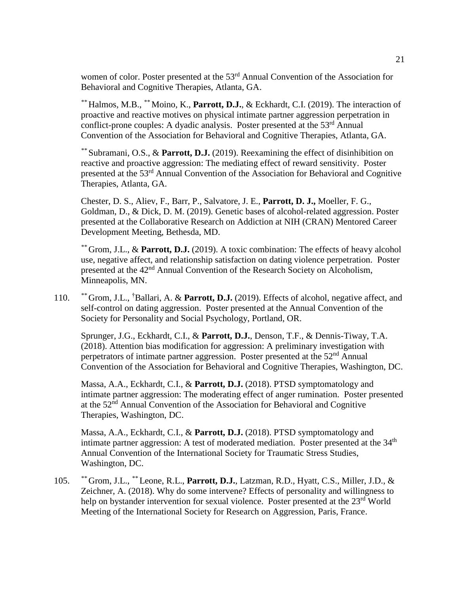women of color. Poster presented at the 53<sup>rd</sup> Annual Convention of the Association for Behavioral and Cognitive Therapies, Atlanta, GA.

*\*\** Halmos, M.B., *\*\** Moino, K., **Parrott, D.J.**, & Eckhardt, C.I. (2019). The interaction of proactive and reactive motives on physical intimate partner aggression perpetration in conflict-prone couples: A dyadic analysis. Poster presented at the 53<sup>rd</sup> Annual Convention of the Association for Behavioral and Cognitive Therapies, Atlanta, GA.

*\*\** Subramani, O.S., & **Parrott, D.J.** (2019). Reexamining the effect of disinhibition on reactive and proactive aggression: The mediating effect of reward sensitivity. Poster presented at the 53rd Annual Convention of the Association for Behavioral and Cognitive Therapies, Atlanta, GA.

Chester, D. S., Aliev, F., Barr, P., Salvatore, J. E., **Parrott, D. J.,** Moeller, F. G., Goldman, D., & Dick, D. M. (2019). Genetic bases of alcohol-related aggression. Poster presented at the Collaborative Research on Addiction at NIH (CRAN) Mentored Career Development Meeting, Bethesda, MD.

*\*\** Grom, J.L., & **Parrott, D.J.** (2019). A toxic combination: The effects of heavy alcohol use, negative affect, and relationship satisfaction on dating violence perpetration. Poster presented at the 42<sup>nd</sup> Annual Convention of the Research Society on Alcoholism, Minneapolis, MN.

110. *\*\** Grom, J.L., †Ballari, A. & **Parrott, D.J.** (2019). Effects of alcohol, negative affect, and self-control on dating aggression. Poster presented at the Annual Convention of the Society for Personality and Social Psychology, Portland, OR.

Sprunger, J.G., Eckhardt, C.I., & **Parrott, D.J.**, Denson, T.F., & Dennis-Tiway, T.A. (2018). Attention bias modification for aggression: A preliminary investigation with perpetrators of intimate partner aggression. Poster presented at the  $52<sup>nd</sup>$  Annual Convention of the Association for Behavioral and Cognitive Therapies, Washington, DC.

Massa, A.A., Eckhardt, C.I., & **Parrott, D.J.** (2018). PTSD symptomatology and intimate partner aggression: The moderating effect of anger rumination. Poster presented at the 52nd Annual Convention of the Association for Behavioral and Cognitive Therapies, Washington, DC.

Massa, A.A., Eckhardt, C.I., & **Parrott, D.J.** (2018). PTSD symptomatology and intimate partner aggression: A test of moderated mediation. Poster presented at the  $34<sup>th</sup>$ Annual Convention of the International Society for Traumatic Stress Studies, Washington, DC.

105. *\*\** Grom, J.L., *\*\** Leone, R.L., **Parrott, D.J.**, Latzman, R.D., Hyatt, C.S., Miller, J.D., & Zeichner, A. (2018). Why do some intervene? Effects of personality and willingness to help on bystander intervention for sexual violence. Poster presented at the 23<sup>rd</sup> World Meeting of the International Society for Research on Aggression, Paris, France.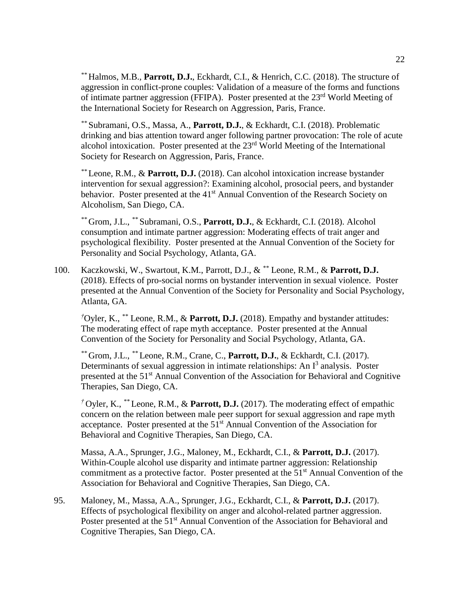*\*\** Halmos, M.B., **Parrott, D.J.**, Eckhardt, C.I., & Henrich, C.C. (2018). The structure of aggression in conflict-prone couples: Validation of a measure of the forms and functions of intimate partner aggression (FFIPA). Poster presented at the 23rd World Meeting of the International Society for Research on Aggression, Paris, France.

*\*\** Subramani, O.S., Massa, A., **Parrott, D.J.**, & Eckhardt, C.I. (2018). Problematic drinking and bias attention toward anger following partner provocation: The role of acute alcohol intoxication. Poster presented at the  $23<sup>rd</sup>$  World Meeting of the International Society for Research on Aggression, Paris, France.

*\*\** Leone, R.M., & **Parrott, D.J.** (2018). Can alcohol intoxication increase bystander intervention for sexual aggression?: Examining alcohol, prosocial peers, and bystander behavior. Poster presented at the 41<sup>st</sup> Annual Convention of the Research Society on Alcoholism, San Diego, CA.

*\*\** Grom, J.L., *\*\** Subramani, O.S., **Parrott, D.J.**, & Eckhardt, C.I. (2018). Alcohol consumption and intimate partner aggression: Moderating effects of trait anger and psychological flexibility. Poster presented at the Annual Convention of the Society for Personality and Social Psychology, Atlanta, GA.

100. Kaczkowski, W., Swartout, K.M., Parrott, D.J., & *\*\** Leone, R.M., & **Parrott, D.J.** (2018). Effects of pro-social norms on bystander intervention in sexual violence. Poster presented at the Annual Convention of the Society for Personality and Social Psychology, Atlanta, GA.

*†*Oyler, K., *\*\** Leone, R.M., & **Parrott, D.J.** (2018). Empathy and bystander attitudes: The moderating effect of rape myth acceptance. Poster presented at the Annual Convention of the Society for Personality and Social Psychology, Atlanta, GA.

*\*\** Grom, J.L., *\*\** Leone, R.M., Crane, C., **Parrott, D.J.**, & Eckhardt, C.I. (2017). Determinants of sexual aggression in intimate relationships: An  $I<sup>3</sup>$  analysis. Poster presented at the 51st Annual Convention of the Association for Behavioral and Cognitive Therapies, San Diego, CA.

*†* Oyler, K., *\*\** Leone, R.M., & **Parrott, D.J.** (2017). The moderating effect of empathic concern on the relation between male peer support for sexual aggression and rape myth acceptance. Poster presented at the 51st Annual Convention of the Association for Behavioral and Cognitive Therapies, San Diego, CA.

Massa, A.A., Sprunger, J.G., Maloney, M., Eckhardt, C.I., & **Parrott, D.J.** (2017). Within-Couple alcohol use disparity and intimate partner aggression: Relationship commitment as a protective factor. Poster presented at the  $51<sup>st</sup>$  Annual Convention of the Association for Behavioral and Cognitive Therapies, San Diego, CA.

95. Maloney, M., Massa, A.A., Sprunger, J.G., Eckhardt, C.I., & **Parrott, D.J.** (2017). Effects of psychological flexibility on anger and alcohol-related partner aggression. Poster presented at the 51<sup>st</sup> Annual Convention of the Association for Behavioral and Cognitive Therapies, San Diego, CA.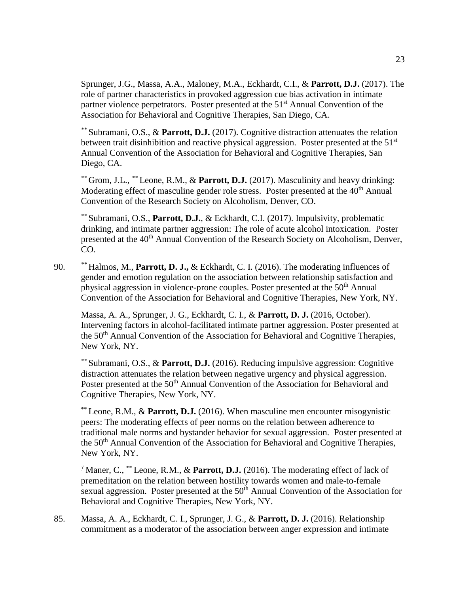Sprunger, J.G., Massa, A.A., Maloney, M.A., Eckhardt, C.I., & **Parrott, D.J.** (2017). The role of partner characteristics in provoked aggression cue bias activation in intimate partner violence perpetrators. Poster presented at the 51<sup>st</sup> Annual Convention of the Association for Behavioral and Cognitive Therapies, San Diego, CA.

*\*\** Subramani, O.S., & **Parrott, D.J.** (2017). Cognitive distraction attenuates the relation between trait disinhibition and reactive physical aggression. Poster presented at the  $51<sup>st</sup>$ Annual Convention of the Association for Behavioral and Cognitive Therapies, San Diego, CA.

*\*\** Grom, J.L., *\*\** Leone, R.M., & **Parrott, D.J.** (2017). Masculinity and heavy drinking: Moderating effect of masculine gender role stress. Poster presented at the 40<sup>th</sup> Annual Convention of the Research Society on Alcoholism, Denver, CO.

*\*\** Subramani, O.S., **Parrott, D.J.**, & Eckhardt, C.I. (2017). Impulsivity, problematic drinking, and intimate partner aggression: The role of acute alcohol intoxication. Poster presented at the 40<sup>th</sup> Annual Convention of the Research Society on Alcoholism, Denver, CO.

90. *\*\** Halmos, M., **Parrott, D. J.,** & Eckhardt, C. I. (2016). The moderating influences of gender and emotion regulation on the association between relationship satisfaction and physical aggression in violence-prone couples. Poster presented at the 50th Annual Convention of the Association for Behavioral and Cognitive Therapies, New York, NY.

Massa, A. A., Sprunger, J. G., Eckhardt, C. I., & **Parrott, D. J.** (2016, October). Intervening factors in alcohol-facilitated intimate partner aggression. Poster presented at the 50<sup>th</sup> Annual Convention of the Association for Behavioral and Cognitive Therapies, New York, NY.

*\*\** Subramani, O.S., & **Parrott, D.J.** (2016). Reducing impulsive aggression: Cognitive distraction attenuates the relation between negative urgency and physical aggression. Poster presented at the 50<sup>th</sup> Annual Convention of the Association for Behavioral and Cognitive Therapies, New York, NY.

\*\* Leone, R.M., & **Parrott, D.J.** (2016). When masculine men encounter misogynistic peers: The moderating effects of peer norms on the relation between adherence to traditional male norms and bystander behavior for sexual aggression. Poster presented at the 50<sup>th</sup> Annual Convention of the Association for Behavioral and Cognitive Therapies, New York, NY.

*†* Maner, C., \*\* Leone, R.M., & **Parrott, D.J.** (2016). The moderating effect of lack of premeditation on the relation between hostility towards women and male-to-female sexual aggression. Poster presented at the  $50<sup>th</sup>$  Annual Convention of the Association for Behavioral and Cognitive Therapies, New York, NY.

85. Massa, A. A., Eckhardt, C. I., Sprunger, J. G., & **Parrott, D. J.** (2016). Relationship commitment as a moderator of the association between anger expression and intimate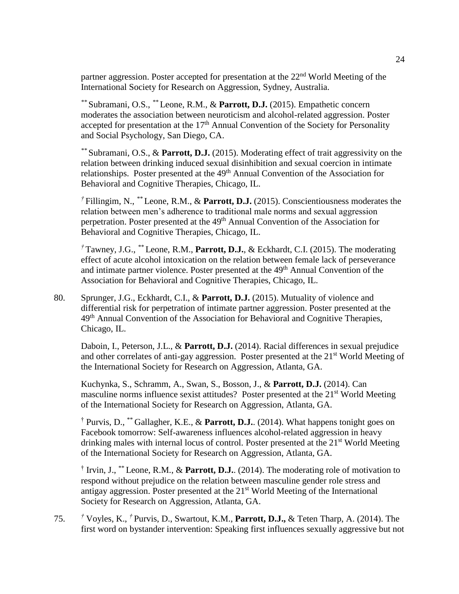partner aggression. Poster accepted for presentation at the  $22<sup>nd</sup>$  World Meeting of the International Society for Research on Aggression, Sydney, Australia.

*\*\** Subramani, O.S., *\*\** Leone, R.M., & **Parrott, D.J.** (2015). Empathetic concern moderates the association between neuroticism and alcohol-related aggression. Poster accepted for presentation at the  $17<sup>th</sup>$  Annual Convention of the Society for Personality and Social Psychology, San Diego, CA.

*\*\** Subramani, O.S., & **Parrott, D.J.** (2015). Moderating effect of trait aggressivity on the relation between drinking induced sexual disinhibition and sexual coercion in intimate relationships. Poster presented at the 49<sup>th</sup> Annual Convention of the Association for Behavioral and Cognitive Therapies, Chicago, IL.

*†* Fillingim, N., *\*\** Leone, R.M., & **Parrott, D.J.** (2015). Conscientiousness moderates the relation between men's adherence to traditional male norms and sexual aggression perpetration. Poster presented at the 49<sup>th</sup> Annual Convention of the Association for Behavioral and Cognitive Therapies, Chicago, IL.

*†* Tawney, J.G., *\*\** Leone, R.M., **Parrott, D.J.**, & Eckhardt, C.I. (2015). The moderating effect of acute alcohol intoxication on the relation between female lack of perseverance and intimate partner violence. Poster presented at the 49<sup>th</sup> Annual Convention of the Association for Behavioral and Cognitive Therapies, Chicago, IL.

80. Sprunger, J.G., Eckhardt, C.I., & **Parrott, D.J.** (2015). Mutuality of violence and differential risk for perpetration of intimate partner aggression. Poster presented at the 49<sup>th</sup> Annual Convention of the Association for Behavioral and Cognitive Therapies, Chicago, IL.

Daboin, I., Peterson, J.L., & **Parrott, D.J.** (2014). Racial differences in sexual prejudice and other correlates of anti-gay aggression. Poster presented at the 21<sup>st</sup> World Meeting of the International Society for Research on Aggression, Atlanta, GA.

Kuchynka, S., Schramm, A., Swan, S., Bosson, J., & **Parrott, D.J.** (2014). Can masculine norms influence sexist attitudes? Poster presented at the 21<sup>st</sup> World Meeting of the International Society for Research on Aggression, Atlanta, GA.

† Purvis, D., \*\* Gallagher, K.E., & **Parrott, D.J.**. (2014). What happens tonight goes on Facebook tomorrow: Self-awareness influences alcohol-related aggression in heavy drinking males with internal locus of control. Poster presented at the  $21<sup>st</sup>$  World Meeting of the International Society for Research on Aggression, Atlanta, GA.

<sup>†</sup> Irvin, J., <sup>\*\*</sup> Leone, R.M., & **Parrott, D.J.**. (2014). The moderating role of motivation to respond without prejudice on the relation between masculine gender role stress and antigay aggression. Poster presented at the 21st World Meeting of the International Society for Research on Aggression, Atlanta, GA.

75. *†* Voyles, K., *†* Purvis, D., Swartout, K.M., **Parrott, D.J.,** & Teten Tharp, A. (2014). The first word on bystander intervention: Speaking first influences sexually aggressive but not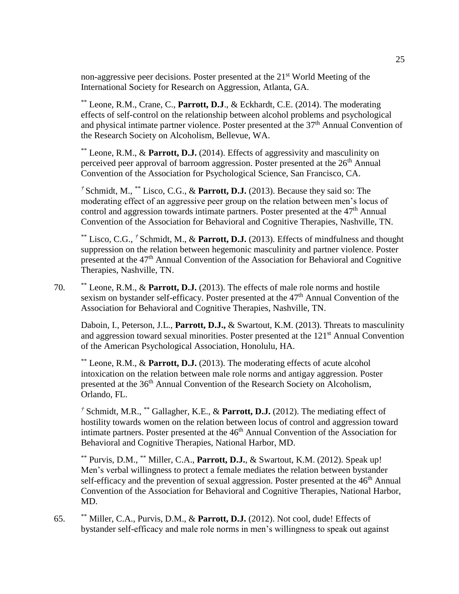non-aggressive peer decisions. Poster presented at the 21<sup>st</sup> World Meeting of the International Society for Research on Aggression, Atlanta, GA.

\*\* Leone, R.M., Crane, C., **Parrott, D.J**., & Eckhardt, C.E. (2014). The moderating effects of self-control on the relationship between alcohol problems and psychological and physical intimate partner violence. Poster presented at the 37th Annual Convention of the Research Society on Alcoholism, Bellevue, WA.

\*\* Leone, R.M., & **Parrott, D.J.** (2014). Effects of aggressivity and masculinity on perceived peer approval of barroom aggression. Poster presented at the 26<sup>th</sup> Annual Convention of the Association for Psychological Science, San Francisco, CA.

*†* Schmidt, M., \*\* Lisco, C.G., & **Parrott, D.J.** (2013). Because they said so: The moderating effect of an aggressive peer group on the relation between men's locus of control and aggression towards intimate partners. Poster presented at the  $47<sup>th</sup>$  Annual Convention of the Association for Behavioral and Cognitive Therapies, Nashville, TN.

\*\* Lisco, C.G., *†* Schmidt, M., & **Parrott, D.J.** (2013). Effects of mindfulness and thought suppression on the relation between hegemonic masculinity and partner violence. Poster presented at the 47<sup>th</sup> Annual Convention of the Association for Behavioral and Cognitive Therapies, Nashville, TN.

70. \*\* Leone, R.M., & **Parrott, D.J.** (2013). The effects of male role norms and hostile sexism on bystander self-efficacy. Poster presented at the 47<sup>th</sup> Annual Convention of the Association for Behavioral and Cognitive Therapies, Nashville, TN.

Daboin, I., Peterson, J.L., **Parrott, D.J.,** & Swartout, K.M. (2013). Threats to masculinity and aggression toward sexual minorities. Poster presented at the 121<sup>st</sup> Annual Convention of the American Psychological Association, Honolulu, HA.

\*\* Leone, R.M., & **Parrott, D.J.** (2013). The moderating effects of acute alcohol intoxication on the relation between male role norms and antigay aggression. Poster presented at the 36<sup>th</sup> Annual Convention of the Research Society on Alcoholism, Orlando, FL.

*†* Schmidt, M.R., \*\* Gallagher, K.E., & **Parrott, D.J.** (2012). The mediating effect of hostility towards women on the relation between locus of control and aggression toward intimate partners. Poster presented at the 46<sup>th</sup> Annual Convention of the Association for Behavioral and Cognitive Therapies, National Harbor, MD.

\*\* Purvis, D.M., \*\* Miller, C.A., **Parrott, D.J.**, & Swartout, K.M. (2012). Speak up! Men's verbal willingness to protect a female mediates the relation between bystander self-efficacy and the prevention of sexual aggression. Poster presented at the  $46<sup>th</sup>$  Annual Convention of the Association for Behavioral and Cognitive Therapies, National Harbor, MD.

65. \*\* Miller, C.A., Purvis, D.M., & **Parrott, D.J.** (2012). Not cool, dude! Effects of bystander self-efficacy and male role norms in men's willingness to speak out against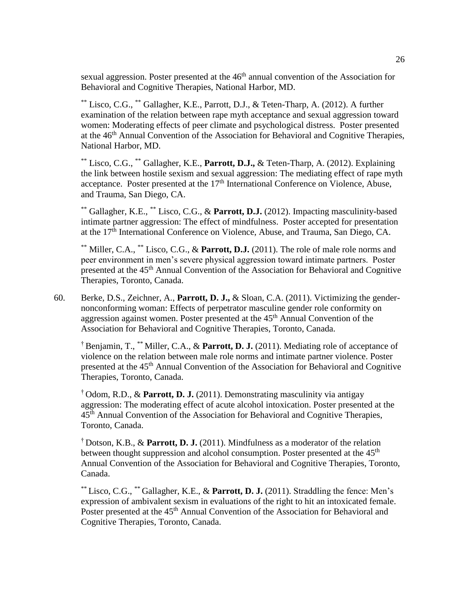sexual aggression. Poster presented at the 46<sup>th</sup> annual convention of the Association for Behavioral and Cognitive Therapies, National Harbor, MD.

\*\* Lisco, C.G., \*\* Gallagher, K.E., Parrott, D.J., & Teten-Tharp, A. (2012). A further examination of the relation between rape myth acceptance and sexual aggression toward women: Moderating effects of peer climate and psychological distress. Poster presented at the 46<sup>th</sup> Annual Convention of the Association for Behavioral and Cognitive Therapies, National Harbor, MD.

\*\* Lisco, C.G., \*\* Gallagher, K.E., **Parrott, D.J.,** & Teten-Tharp, A. (2012). Explaining the link between hostile sexism and sexual aggression: The mediating effect of rape myth acceptance. Poster presented at the  $17<sup>th</sup>$  International Conference on Violence, Abuse, and Trauma, San Diego, CA.

\*\* Gallagher, K.E., \*\* Lisco, C.G., & **Parrott, D.J.** (2012). Impacting masculinity-based intimate partner aggression: The effect of mindfulness. Poster accepted for presentation at the 17th International Conference on Violence, Abuse, and Trauma, San Diego, CA.

\*\* Miller, C.A., \*\* Lisco, C.G., & **Parrott, D.J.** (2011). The role of male role norms and peer environment in men's severe physical aggression toward intimate partners. Poster presented at the 45<sup>th</sup> Annual Convention of the Association for Behavioral and Cognitive Therapies, Toronto, Canada.

60. Berke, D.S., Zeichner, A., **Parrott, D. J.,** & Sloan, C.A. (2011). Victimizing the gendernonconforming woman: Effects of perpetrator masculine gender role conformity on aggression against women. Poster presented at the 45<sup>th</sup> Annual Convention of the Association for Behavioral and Cognitive Therapies, Toronto, Canada.

† Benjamin, T., \*\* Miller, C.A., & **Parrott, D. J.** (2011). Mediating role of acceptance of violence on the relation between male role norms and intimate partner violence. Poster presented at the 45<sup>th</sup> Annual Convention of the Association for Behavioral and Cognitive Therapies, Toronto, Canada.

† Odom, R.D., & **Parrott, D. J.** (2011). Demonstrating masculinity via antigay aggression: The moderating effect of acute alcohol intoxication. Poster presented at the 45th Annual Convention of the Association for Behavioral and Cognitive Therapies, Toronto, Canada.

† Dotson, K.B., & **Parrott, D. J.** (2011). Mindfulness as a moderator of the relation between thought suppression and alcohol consumption. Poster presented at the 45<sup>th</sup> Annual Convention of the Association for Behavioral and Cognitive Therapies, Toronto, Canada.

\*\* Lisco, C.G., \*\* Gallagher, K.E., & **Parrott, D. J.** (2011). Straddling the fence: Men's expression of ambivalent sexism in evaluations of the right to hit an intoxicated female. Poster presented at the 45<sup>th</sup> Annual Convention of the Association for Behavioral and Cognitive Therapies, Toronto, Canada.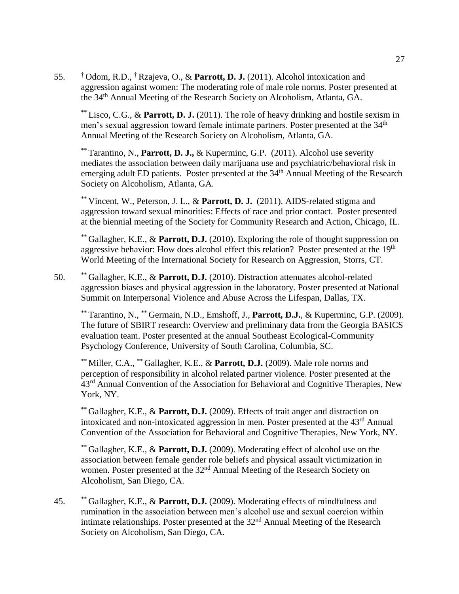55. † Odom, R.D., † Rzajeva, O., & **Parrott, D. J.** (2011). Alcohol intoxication and aggression against women: The moderating role of male role norms. Poster presented at the 34th Annual Meeting of the Research Society on Alcoholism, Atlanta, GA.

\*\* Lisco, C.G., & **Parrott, D. J.** (2011). The role of heavy drinking and hostile sexism in men's sexual aggression toward female intimate partners. Poster presented at the 34<sup>th</sup> Annual Meeting of the Research Society on Alcoholism, Atlanta, GA.

\*\* Tarantino, N., **Parrott, D. J.,** & Kuperminc, G.P. (2011). Alcohol use severity mediates the association between daily marijuana use and psychiatric/behavioral risk in emerging adult ED patients. Poster presented at the  $34<sup>th</sup>$  Annual Meeting of the Research Society on Alcoholism, Atlanta, GA.

\*\* Vincent, W., Peterson, J. L., & **Parrott, D. J.** (2011). AIDS-related stigma and aggression toward sexual minorities: Effects of race and prior contact. Poster presented at the biennial meeting of the Society for Community Research and Action, Chicago, IL.

\*\* Gallagher, K.E., & **Parrott, D.J.** (2010). Exploring the role of thought suppression on aggressive behavior: How does alcohol effect this relation? Poster presented at the 19<sup>th</sup> World Meeting of the International Society for Research on Aggression, Storrs, CT.

50. \*\* Gallagher, K.E., & **Parrott, D.J.** (2010). Distraction attenuates alcohol-related aggression biases and physical aggression in the laboratory. Poster presented at National Summit on Interpersonal Violence and Abuse Across the Lifespan, Dallas, TX.

\*\* Tarantino, N., \*\* Germain, N.D., Emshoff, J., **Parrott, D.J.**, & Kuperminc, G.P. (2009). The future of SBIRT research: Overview and preliminary data from the Georgia BASICS evaluation team. Poster presented at the annual Southeast Ecological-Community Psychology Conference, University of South Carolina, Columbia, SC.

\*\* Miller, C.A., \*\* Gallagher, K.E., & **Parrott, D.J.** (2009). Male role norms and perception of responsibility in alcohol related partner violence. Poster presented at the 43<sup>rd</sup> Annual Convention of the Association for Behavioral and Cognitive Therapies, New York, NY.

\*\* Gallagher, K.E., & **Parrott, D.J.** (2009). Effects of trait anger and distraction on intoxicated and non-intoxicated aggression in men. Poster presented at the 43rd Annual Convention of the Association for Behavioral and Cognitive Therapies, New York, NY.

\*\* Gallagher, K.E., & **Parrott, D.J.** (2009). Moderating effect of alcohol use on the association between female gender role beliefs and physical assault victimization in women. Poster presented at the 32<sup>nd</sup> Annual Meeting of the Research Society on Alcoholism, San Diego, CA.

45. \*\* Gallagher, K.E., & **Parrott, D.J.** (2009). Moderating effects of mindfulness and rumination in the association between men's alcohol use and sexual coercion within intimate relationships. Poster presented at the  $32<sup>nd</sup>$  Annual Meeting of the Research Society on Alcoholism, San Diego, CA.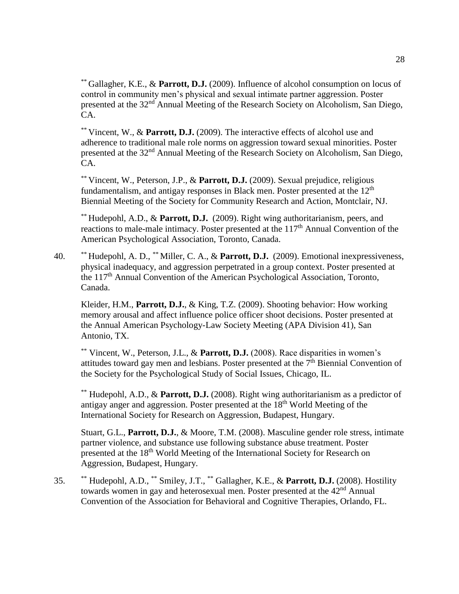\*\* Gallagher, K.E., & **Parrott, D.J.** (2009). Influence of alcohol consumption on locus of control in community men's physical and sexual intimate partner aggression. Poster presented at the 32<sup>nd</sup> Annual Meeting of the Research Society on Alcoholism, San Diego, CA.

\*\* Vincent, W., & **Parrott, D.J.** (2009). The interactive effects of alcohol use and adherence to traditional male role norms on aggression toward sexual minorities. Poster presented at the 32nd Annual Meeting of the Research Society on Alcoholism, San Diego, CA.

\*\* Vincent, W., Peterson, J.P., & **Parrott, D.J.** (2009). Sexual prejudice, religious fundamentalism, and antigay responses in Black men. Poster presented at the  $12<sup>th</sup>$ Biennial Meeting of the Society for Community Research and Action, Montclair, NJ.

\*\* Hudepohl, A.D., & **Parrott, D.J.** (2009). Right wing authoritarianism, peers, and reactions to male-male intimacy. Poster presented at the  $117<sup>th</sup>$  Annual Convention of the American Psychological Association, Toronto, Canada.

40. \*\* Hudepohl, A. D., \*\* Miller, C. A., & **Parrott, D.J.** (2009). Emotional inexpressiveness, physical inadequacy, and aggression perpetrated in a group context. Poster presented at the 117th Annual Convention of the American Psychological Association, Toronto, Canada.

Kleider, H.M., **Parrott, D.J.**, & King, T.Z. (2009). Shooting behavior: How working memory arousal and affect influence police officer shoot decisions. Poster presented at the Annual American Psychology-Law Society Meeting (APA Division 41), San Antonio, TX.

\*\* Vincent, W., Peterson, J.L., & **Parrott, D.J.** (2008). Race disparities in women's attitudes toward gay men and lesbians. Poster presented at the 7<sup>th</sup> Biennial Convention of the Society for the Psychological Study of Social Issues, Chicago, IL.

\*\* Hudepohl, A.D., & **Parrott, D.J.** (2008). Right wing authoritarianism as a predictor of antigay anger and aggression. Poster presented at the  $18<sup>th</sup>$  World Meeting of the International Society for Research on Aggression, Budapest, Hungary.

Stuart, G.L., **Parrott, D.J.**, & Moore, T.M. (2008). Masculine gender role stress, intimate partner violence, and substance use following substance abuse treatment. Poster presented at the 18<sup>th</sup> World Meeting of the International Society for Research on Aggression, Budapest, Hungary.

35. \*\* Hudepohl, A.D., \*\* Smiley, J.T., \*\* Gallagher, K.E., & **Parrott, D.J.** (2008). Hostility towards women in gay and heterosexual men. Poster presented at the 42<sup>nd</sup> Annual Convention of the Association for Behavioral and Cognitive Therapies, Orlando, FL.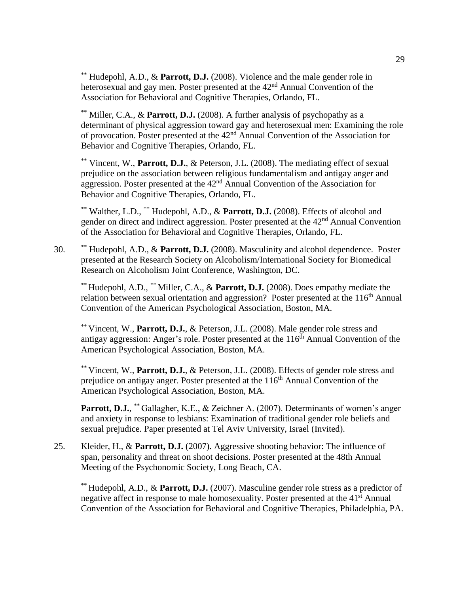\*\* Hudepohl, A.D., & **Parrott, D.J.** (2008). Violence and the male gender role in heterosexual and gay men. Poster presented at the 42<sup>nd</sup> Annual Convention of the Association for Behavioral and Cognitive Therapies, Orlando, FL.

\*\* Miller, C.A., & **Parrott, D.J.** (2008). A further analysis of psychopathy as a determinant of physical aggression toward gay and heterosexual men: Examining the role of provocation. Poster presented at the 42nd Annual Convention of the Association for Behavior and Cognitive Therapies, Orlando, FL.

\*\* Vincent, W., **Parrott, D.J.**, & Peterson, J.L. (2008). The mediating effect of sexual prejudice on the association between religious fundamentalism and antigay anger and aggression. Poster presented at the  $42<sup>nd</sup>$  Annual Convention of the Association for Behavior and Cognitive Therapies, Orlando, FL.

\*\* Walther, L.D., \*\* Hudepohl, A.D., & **Parrott, D.J.** (2008). Effects of alcohol and gender on direct and indirect aggression. Poster presented at the 42nd Annual Convention of the Association for Behavioral and Cognitive Therapies, Orlando, FL.

30. \*\* Hudepohl, A.D., & **Parrott, D.J.** (2008). Masculinity and alcohol dependence. Poster presented at the Research Society on Alcoholism/International Society for Biomedical Research on Alcoholism Joint Conference, Washington, DC.

\*\* Hudepohl, A.D., \*\* Miller, C.A., & **Parrott, D.J.** (2008). Does empathy mediate the relation between sexual orientation and aggression? Poster presented at the 116<sup>th</sup> Annual Convention of the American Psychological Association, Boston, MA.

\*\* Vincent, W., **Parrott, D.J.**, & Peterson, J.L. (2008). Male gender role stress and antigay aggression: Anger's role. Poster presented at the  $116<sup>th</sup>$  Annual Convention of the American Psychological Association, Boston, MA.

\*\* Vincent, W., **Parrott, D.J.**, & Peterson, J.L. (2008). Effects of gender role stress and prejudice on antigay anger. Poster presented at the 116<sup>th</sup> Annual Convention of the American Psychological Association, Boston, MA.

Parrott, D.J., \*\* Gallagher, K.E., & Zeichner A. (2007). Determinants of women's anger and anxiety in response to lesbians: Examination of traditional gender role beliefs and sexual prejudice. Paper presented at Tel Aviv University, Israel (Invited).

25. Kleider, H., & **Parrott, D.J.** (2007). Aggressive shooting behavior: The influence of span, personality and threat on shoot decisions. Poster presented at the 48th Annual Meeting of the Psychonomic Society, Long Beach, CA.

\*\* Hudepohl, A.D., & **Parrott, D.J.** (2007). Masculine gender role stress as a predictor of negative affect in response to male homosexuality. Poster presented at the 41<sup>st</sup> Annual Convention of the Association for Behavioral and Cognitive Therapies, Philadelphia, PA.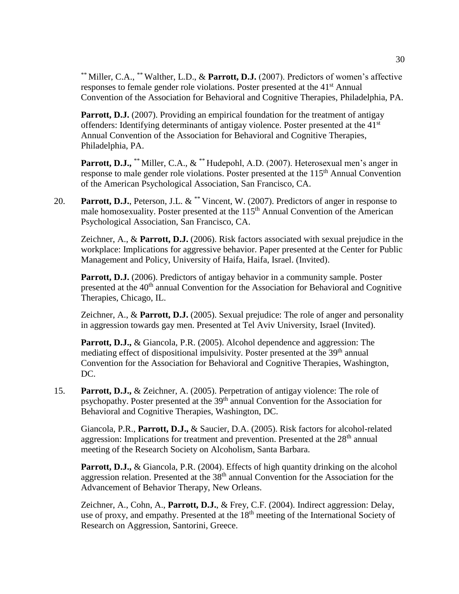\*\* Miller, C.A., \*\* Walther, L.D., & **Parrott, D.J.** (2007). Predictors of women's affective responses to female gender role violations. Poster presented at the 41<sup>st</sup> Annual Convention of the Association for Behavioral and Cognitive Therapies, Philadelphia, PA.

Parrott, D.J. (2007). Providing an empirical foundation for the treatment of antigay offenders: Identifying determinants of antigay violence. Poster presented at the 41<sup>st</sup> Annual Convention of the Association for Behavioral and Cognitive Therapies, Philadelphia, PA.

Parrott, D.J., \*\* Miller, C.A., & \*\* Hudepohl, A.D. (2007). Heterosexual men's anger in response to male gender role violations. Poster presented at the 115<sup>th</sup> Annual Convention of the American Psychological Association, San Francisco, CA.

20. **Parrott, D.J.**, Peterson, J.L. & \*\* Vincent, W. (2007). Predictors of anger in response to male homosexuality. Poster presented at the 115<sup>th</sup> Annual Convention of the American Psychological Association, San Francisco, CA.

Zeichner, A., & **Parrott, D.J.** (2006). Risk factors associated with sexual prejudice in the workplace: Implications for aggressive behavior. Paper presented at the Center for Public Management and Policy, University of Haifa, Haifa, Israel. (Invited).

Parrott, D.J. (2006). Predictors of antigay behavior in a community sample. Poster presented at the 40<sup>th</sup> annual Convention for the Association for Behavioral and Cognitive Therapies, Chicago, IL.

Zeichner, A., & **Parrott, D.J.** (2005). Sexual prejudice: The role of anger and personality in aggression towards gay men. Presented at Tel Aviv University, Israel (Invited).

**Parrott, D.J.,** & Giancola, P.R. (2005). Alcohol dependence and aggression: The mediating effect of dispositional impulsivity. Poster presented at the 39<sup>th</sup> annual Convention for the Association for Behavioral and Cognitive Therapies, Washington, DC.

15. **Parrott, D.J.,** & Zeichner, A. (2005). Perpetration of antigay violence: The role of psychopathy. Poster presented at the 39<sup>th</sup> annual Convention for the Association for Behavioral and Cognitive Therapies, Washington, DC.

Giancola, P.R., **Parrott, D.J.,** & Saucier, D.A. (2005). Risk factors for alcohol-related aggression: Implications for treatment and prevention. Presented at the 28<sup>th</sup> annual meeting of the Research Society on Alcoholism, Santa Barbara.

**Parrott, D.J.,** & Giancola, P.R. (2004). Effects of high quantity drinking on the alcohol aggression relation. Presented at the 38th annual Convention for the Association for the Advancement of Behavior Therapy, New Orleans.

Zeichner, A., Cohn, A., **Parrott, D.J.**, & Frey, C.F. (2004). Indirect aggression: Delay, use of proxy, and empathy. Presented at the 18<sup>th</sup> meeting of the International Society of Research on Aggression, Santorini, Greece.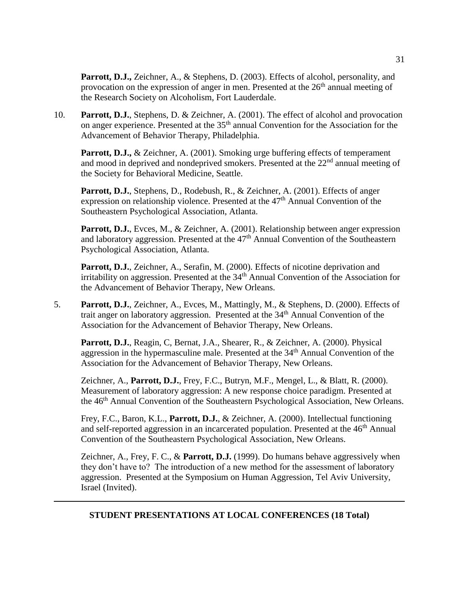Parrott, D.J., Zeichner, A., & Stephens, D. (2003). Effects of alcohol, personality, and provocation on the expression of anger in men. Presented at the  $26<sup>th</sup>$  annual meeting of the Research Society on Alcoholism, Fort Lauderdale.

10. **Parrott, D.J.**, Stephens, D. & Zeichner, A. (2001). The effect of alcohol and provocation on anger experience. Presented at the 35<sup>th</sup> annual Convention for the Association for the Advancement of Behavior Therapy, Philadelphia.

**Parrott, D.J., & Zeichner, A. (2001). Smoking urge buffering effects of temperament** and mood in deprived and nondeprived smokers. Presented at the 22<sup>nd</sup> annual meeting of the Society for Behavioral Medicine, Seattle.

Parrott, D.J., Stephens, D., Rodebush, R., & Zeichner, A. (2001). Effects of anger expression on relationship violence. Presented at the  $47<sup>th</sup>$  Annual Convention of the Southeastern Psychological Association, Atlanta.

Parrott, D.J., Evces, M., & Zeichner, A. (2001). Relationship between anger expression and laboratory aggression. Presented at the 47<sup>th</sup> Annual Convention of the Southeastern Psychological Association, Atlanta.

Parrott, D.J., Zeichner, A., Serafin, M. (2000). Effects of nicotine deprivation and irritability on aggression. Presented at the  $34<sup>th</sup>$  Annual Convention of the Association for the Advancement of Behavior Therapy, New Orleans.

5. **Parrott, D.J.**, Zeichner, A., Evces, M., Mattingly, M., & Stephens, D. (2000). Effects of trait anger on laboratory aggression. Presented at the 34<sup>th</sup> Annual Convention of the Association for the Advancement of Behavior Therapy, New Orleans.

Parrott, D.J., Reagin, C, Bernat, J.A., Shearer, R., & Zeichner, A. (2000). Physical aggression in the hypermasculine male. Presented at the  $34<sup>th</sup>$  Annual Convention of the Association for the Advancement of Behavior Therapy, New Orleans.

Zeichner, A., **Parrott, D.J.**, Frey, F.C., Butryn, M.F., Mengel, L., & Blatt, R. (2000). Measurement of laboratory aggression: A new response choice paradigm. Presented at the 46th Annual Convention of the Southeastern Psychological Association, New Orleans.

Frey, F.C., Baron, K.L., **Parrott, D.J.**, & Zeichner, A. (2000). Intellectual functioning and self-reported aggression in an incarcerated population. Presented at the 46<sup>th</sup> Annual Convention of the Southeastern Psychological Association, New Orleans.

Zeichner, A., Frey, F. C., & **Parrott, D.J.** (1999). Do humans behave aggressively when they don't have to? The introduction of a new method for the assessment of laboratory aggression. Presented at the Symposium on Human Aggression, Tel Aviv University, Israel (Invited).

### **STUDENT PRESENTATIONS AT LOCAL CONFERENCES (18 Total)**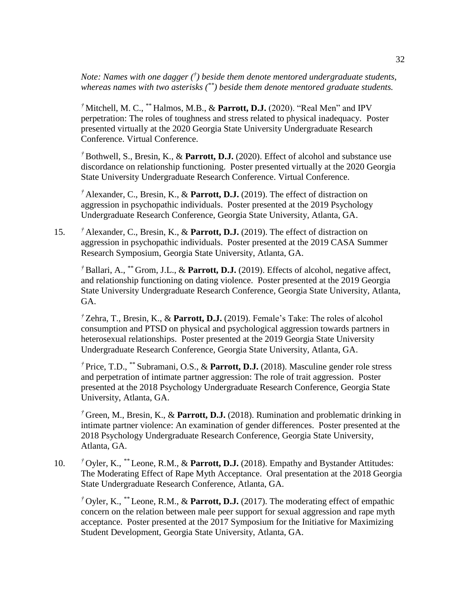*Note: Names with one dagger († ) beside them denote mentored undergraduate students, whereas names with two asterisks (\*\*) beside them denote mentored graduate students.*

*†* Mitchell, M. C., \*\* Halmos, M.B., & **Parrott, D.J.** (2020). "Real Men" and IPV perpetration: The roles of toughness and stress related to physical inadequacy. Poster presented virtually at the 2020 Georgia State University Undergraduate Research Conference. Virtual Conference.

*†* Bothwell, S., Bresin, K., & **Parrott, D.J.** (2020). Effect of alcohol and substance use discordance on relationship functioning. Poster presented virtually at the 2020 Georgia State University Undergraduate Research Conference. Virtual Conference.

*†* Alexander, C., Bresin, K., & **Parrott, D.J.** (2019). The effect of distraction on aggression in psychopathic individuals. Poster presented at the 2019 Psychology Undergraduate Research Conference, Georgia State University, Atlanta, GA.

15. *†* Alexander, C., Bresin, K., & **Parrott, D.J.** (2019). The effect of distraction on aggression in psychopathic individuals. Poster presented at the 2019 CASA Summer Research Symposium, Georgia State University, Atlanta, GA.

*†* Ballari, A., \*\* Grom, J.L., & **Parrott, D.J.** (2019). Effects of alcohol, negative affect, and relationship functioning on dating violence. Poster presented at the 2019 Georgia State University Undergraduate Research Conference, Georgia State University, Atlanta, GA.

*†* Zehra, T., Bresin, K., & **Parrott, D.J.** (2019). Female's Take: The roles of alcohol consumption and PTSD on physical and psychological aggression towards partners in heterosexual relationships. Poster presented at the 2019 Georgia State University Undergraduate Research Conference, Georgia State University, Atlanta, GA.

*†* Price, T.D., \*\* Subramani, O.S., & **Parrott, D.J.** (2018). Masculine gender role stress and perpetration of intimate partner aggression: The role of trait aggression. Poster presented at the 2018 Psychology Undergraduate Research Conference, Georgia State University, Atlanta, GA.

*†* Green, M., Bresin, K., & **Parrott, D.J.** (2018). Rumination and problematic drinking in intimate partner violence: An examination of gender differences. Poster presented at the 2018 Psychology Undergraduate Research Conference, Georgia State University, Atlanta, GA.

10. *†* Oyler, K., *\*\** Leone, R.M., & **Parrott, D.J.** (2018). Empathy and Bystander Attitudes: The Moderating Effect of Rape Myth Acceptance. Oral presentation at the 2018 Georgia State Undergraduate Research Conference, Atlanta, GA.

*†* Oyler, K., *\*\** Leone, R.M., & **Parrott, D.J.** (2017). The moderating effect of empathic concern on the relation between male peer support for sexual aggression and rape myth acceptance. Poster presented at the 2017 Symposium for the Initiative for Maximizing Student Development, Georgia State University, Atlanta, GA.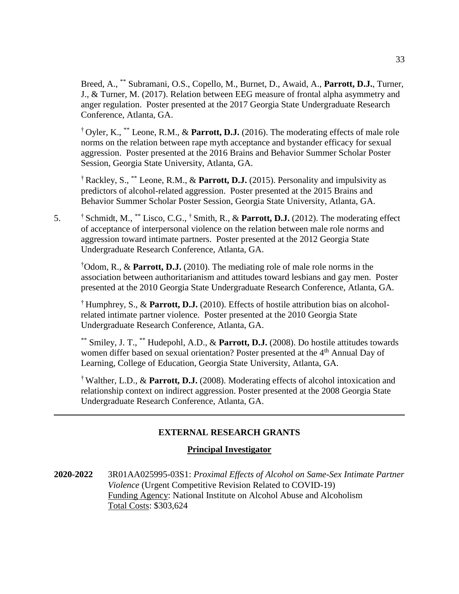Breed, A., \*\* Subramani, O.S., Copello, M., Burnet, D., Awaid, A., **Parrott, D.J.**, Turner, J., & Turner, M. (2017). Relation between EEG measure of frontal alpha asymmetry and anger regulation. Poster presented at the 2017 Georgia State Undergraduate Research Conference, Atlanta, GA.

† Oyler, K., \*\* Leone, R.M., & **Parrott, D.J.** (2016). The moderating effects of male role norms on the relation between rape myth acceptance and bystander efficacy for sexual aggression. Poster presented at the 2016 Brains and Behavior Summer Scholar Poster Session, Georgia State University, Atlanta, GA.

† Rackley, S., \*\* Leone, R.M., & **Parrott, D.J.** (2015). Personality and impulsivity as predictors of alcohol-related aggression. Poster presented at the 2015 Brains and Behavior Summer Scholar Poster Session, Georgia State University, Atlanta, GA.

5. † Schmidt, M., \*\* Lisco, C.G., † Smith, R., & **Parrott, D.J.** (2012). The moderating effect of acceptance of interpersonal violence on the relation between male role norms and aggression toward intimate partners. Poster presented at the 2012 Georgia State Undergraduate Research Conference, Atlanta, GA.

†Odom, R., & **Parrott, D.J.** (2010). The mediating role of male role norms in the association between authoritarianism and attitudes toward lesbians and gay men. Poster presented at the 2010 Georgia State Undergraduate Research Conference, Atlanta, GA.

† Humphrey, S., & **Parrott, D.J.** (2010). Effects of hostile attribution bias on alcoholrelated intimate partner violence. Poster presented at the 2010 Georgia State Undergraduate Research Conference, Atlanta, GA.

\*\* Smiley, J. T., \*\* Hudepohl, A.D., & **Parrott, D.J.** (2008). Do hostile attitudes towards women differ based on sexual orientation? Poster presented at the 4<sup>th</sup> Annual Day of Learning, College of Education, Georgia State University, Atlanta, GA.

† Walther, L.D., & **Parrott, D.J.** (2008). Moderating effects of alcohol intoxication and relationship context on indirect aggression. Poster presented at the 2008 Georgia State Undergraduate Research Conference, Atlanta, GA.

## **EXTERNAL RESEARCH GRANTS**

### **Principal Investigator**

**2020-2022** 3R01AA025995-03S1: *Proximal Effects of Alcohol on Same-Sex Intimate Partner Violence* (Urgent Competitive Revision Related to COVID-19) Funding Agency: National Institute on Alcohol Abuse and Alcoholism Total Costs: \$303,624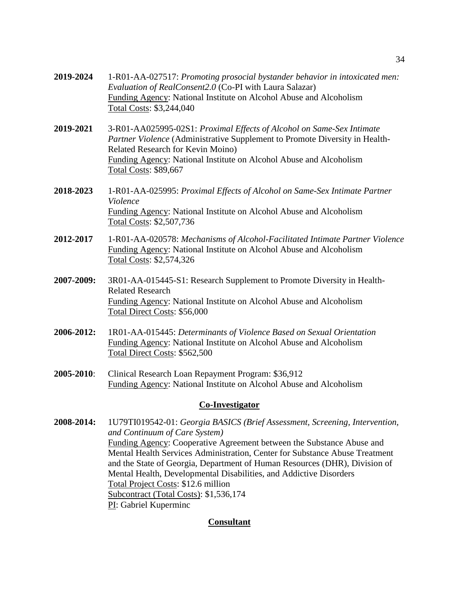| 2019-2024  | 1-R01-AA-027517: Promoting prosocial bystander behavior in intoxicated men:<br>Evaluation of RealConsent2.0 (Co-PI with Laura Salazar)<br>Funding Agency: National Institute on Alcohol Abuse and Alcoholism<br>Total Costs: \$3,244,040                                                        |
|------------|-------------------------------------------------------------------------------------------------------------------------------------------------------------------------------------------------------------------------------------------------------------------------------------------------|
| 2019-2021  | 3-R01-AA025995-02S1: Proximal Effects of Alcohol on Same-Sex Intimate<br>Partner Violence (Administrative Supplement to Promote Diversity in Health-<br>Related Research for Kevin Moino)<br>Funding Agency: National Institute on Alcohol Abuse and Alcoholism<br><b>Total Costs: \$89,667</b> |
| 2018-2023  | 1-R01-AA-025995: Proximal Effects of Alcohol on Same-Sex Intimate Partner<br>Violence<br>Funding Agency: National Institute on Alcohol Abuse and Alcoholism<br>Total Costs: \$2,507,736                                                                                                         |
| 2012-2017  | 1-R01-AA-020578: Mechanisms of Alcohol-Facilitated Intimate Partner Violence<br>Funding Agency: National Institute on Alcohol Abuse and Alcoholism<br>Total Costs: \$2,574,326                                                                                                                  |
| 2007-2009: | 3R01-AA-015445-S1: Research Supplement to Promote Diversity in Health-<br><b>Related Research</b><br>Funding Agency: National Institute on Alcohol Abuse and Alcoholism<br>Total Direct Costs: \$56,000                                                                                         |
| 2006-2012: | 1R01-AA-015445: Determinants of Violence Based on Sexual Orientation<br>Funding Agency: National Institute on Alcohol Abuse and Alcoholism<br>Total Direct Costs: \$562,500                                                                                                                     |
| 2005-2010: | Clinical Research Loan Repayment Program: \$36,912<br>Funding Agency: National Institute on Alcohol Abuse and Alcoholism                                                                                                                                                                        |

### **Co-Investigator**

**2008-2014:** 1U79TI019542-01: *Georgia BASICS (Brief Assessment, Screening, Intervention, and Continuum of Care System)* Funding Agency: Cooperative Agreement between the Substance Abuse and Mental Health Services Administration, Center for Substance Abuse Treatment and the State of Georgia, Department of Human Resources (DHR), Division of Mental Health, Developmental Disabilities, and Addictive Disorders Total Project Costs: \$12.6 million Subcontract (Total Costs): \$1,536,174 PI: Gabriel Kuperminc

### **Consultant**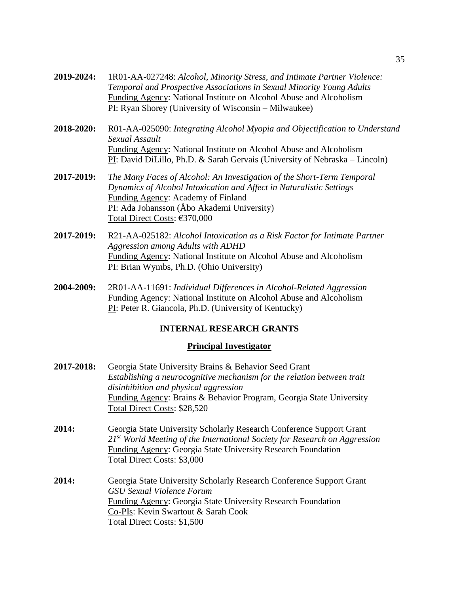- **2019-2024:** 1R01-AA-027248: *Alcohol, Minority Stress, and Intimate Partner Violence: Temporal and Prospective Associations in Sexual Minority Young Adults* Funding Agency: National Institute on Alcohol Abuse and Alcoholism PI: Ryan Shorey (University of Wisconsin – Milwaukee)
- **2018-2020:** R01-AA-025090: *Integrating Alcohol Myopia and Objectification to Understand Sexual Assault* Funding Agency: National Institute on Alcohol Abuse and Alcoholism PI: David DiLillo, Ph.D. & Sarah Gervais (University of Nebraska – Lincoln)
- **2017-2019:** *The Many Faces of Alcohol: An Investigation of the Short-Term Temporal Dynamics of Alcohol Intoxication and Affect in Naturalistic Settings* Funding Agency: Academy of Finland PI: Ada Johansson (Åbo Akademi University) Total Direct Costs: €370,000
- **2017-2019:** R21-AA-025182: *Alcohol Intoxication as a Risk Factor for Intimate Partner Aggression among Adults with ADHD* Funding Agency: National Institute on Alcohol Abuse and Alcoholism PI: Brian Wymbs, Ph.D. (Ohio University)
- **2004-2009:** 2R01-AA-11691: *Individual Differences in Alcohol-Related Aggression* Funding Agency: National Institute on Alcohol Abuse and Alcoholism PI: Peter R. Giancola, Ph.D. (University of Kentucky)

### **INTERNAL RESEARCH GRANTS**

#### **Principal Investigator**

**2017-2018:** Georgia State University Brains & Behavior Seed Grant *Establishing a neurocognitive mechanism for the relation between trait disinhibition and physical aggression* Funding Agency: Brains & Behavior Program, Georgia State University Total Direct Costs: \$28,520 **2014:** Georgia State University Scholarly Research Conference Support Grant *21st World Meeting of the International Society for Research on Aggression* Funding Agency: Georgia State University Research Foundation Total Direct Costs: \$3,000 **2014:** Georgia State University Scholarly Research Conference Support Grant *GSU Sexual Violence Forum* Funding Agency: Georgia State University Research Foundation Co-PIs: Kevin Swartout & Sarah Cook Total Direct Costs: \$1,500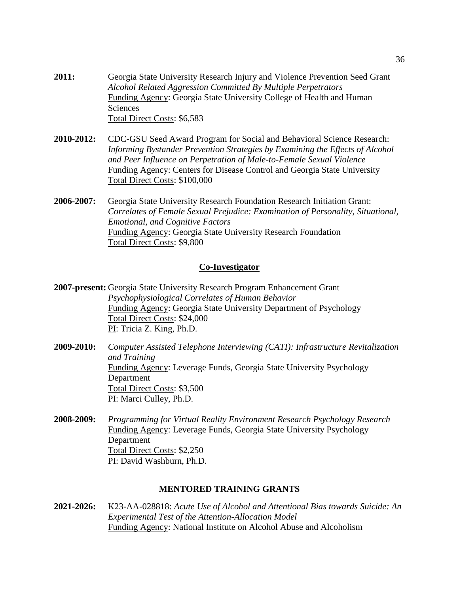- **2011:** Georgia State University Research Injury and Violence Prevention Seed Grant *Alcohol Related Aggression Committed By Multiple Perpetrators*  Funding Agency: Georgia State University College of Health and Human Sciences Total Direct Costs: \$6,583
- **2010-2012:** CDC-GSU Seed Award Program for Social and Behavioral Science Research: *Informing Bystander Prevention Strategies by Examining the Effects of Alcohol and Peer Influence on Perpetration of Male-to-Female Sexual Violence* Funding Agency: Centers for Disease Control and Georgia State University Total Direct Costs: \$100,000
- **2006-2007:** Georgia State University Research Foundation Research Initiation Grant: *Correlates of Female Sexual Prejudice: Examination of Personality, Situational, Emotional, and Cognitive Factors* Funding Agency: Georgia State University Research Foundation Total Direct Costs: \$9,800

#### **Co-Investigator**

**2007-present:** Georgia State University Research Program Enhancement Grant *Psychophysiological Correlates of Human Behavior* Funding Agency: Georgia State University Department of Psychology Total Direct Costs: \$24,000 PI: Tricia Z. King, Ph.D.

- **2009-2010:** *Computer Assisted Telephone Interviewing (CATI): Infrastructure Revitalization and Training* Funding Agency: Leverage Funds, Georgia State University Psychology Department Total Direct Costs: \$3,500 PI: Marci Culley, Ph.D.
- **2008-2009:** *Programming for Virtual Reality Environment Research Psychology Research* Funding Agency: Leverage Funds, Georgia State University Psychology Department Total Direct Costs: \$2,250 PI: David Washburn, Ph.D.

#### **MENTORED TRAINING GRANTS**

**2021-2026:** K23-AA-028818: *Acute Use of Alcohol and Attentional Bias towards Suicide: An Experimental Test of the Attention-Allocation Model*  Funding Agency: National Institute on Alcohol Abuse and Alcoholism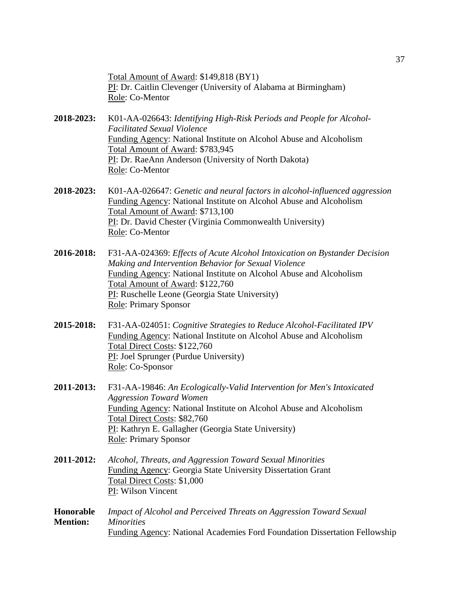Total Amount of Award: \$149,818 (BY1) PI: Dr. Caitlin Clevenger (University of Alabama at Birmingham) Role: Co-Mentor

- **2018-2023:** K01-AA-026643: *Identifying High-Risk Periods and People for Alcohol-Facilitated Sexual Violence* Funding Agency: National Institute on Alcohol Abuse and Alcoholism Total Amount of Award: \$783,945 PI: Dr. RaeAnn Anderson (University of North Dakota) Role: Co-Mentor
- **2018-2023:** K01-AA-026647: *Genetic and neural factors in alcohol-influenced aggression* Funding Agency: National Institute on Alcohol Abuse and Alcoholism Total Amount of Award: \$713,100 PI: Dr. David Chester (Virginia Commonwealth University) Role: Co-Mentor
- **2016-2018:** F31-AA-024369: *Effects of Acute Alcohol Intoxication on Bystander Decision Making and Intervention Behavior for Sexual Violence* Funding Agency: National Institute on Alcohol Abuse and Alcoholism Total Amount of Award: \$122,760 PI: Ruschelle Leone (Georgia State University) Role: Primary Sponsor
- **2015-2018:** F31-AA-024051: *Cognitive Strategies to Reduce Alcohol-Facilitated IPV* Funding Agency: National Institute on Alcohol Abuse and Alcoholism Total Direct Costs: \$122,760 PI: Joel Sprunger (Purdue University) Role: Co-Sponsor
- **2011-2013:** F31-AA-19846: *An Ecologically-Valid Intervention for Men's Intoxicated Aggression Toward Women* Funding Agency: National Institute on Alcohol Abuse and Alcoholism Total Direct Costs: \$82,760 PI: Kathryn E. Gallagher (Georgia State University) Role: Primary Sponsor
- **2011-2012:** *Alcohol, Threats, and Aggression Toward Sexual Minorities* Funding Agency: Georgia State University Dissertation Grant Total Direct Costs: \$1,000 PI: Wilson Vincent
- **Honorable** *Impact of Alcohol and Perceived Threats on Aggression Toward Sexual*  **Mention:** *Minorities* Funding Agency: National Academies Ford Foundation Dissertation Fellowship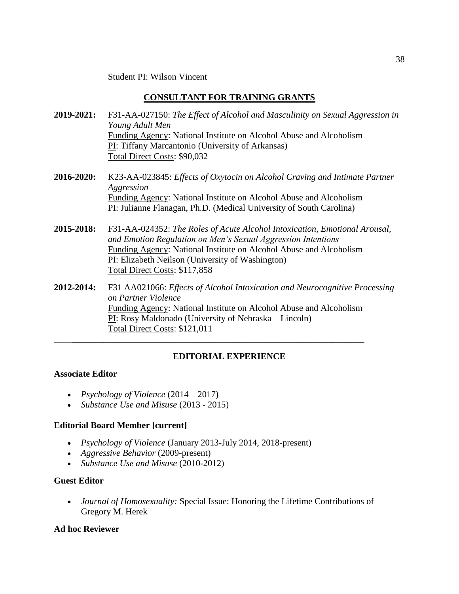Student PI: Wilson Vincent

## **CONSULTANT FOR TRAINING GRANTS**

- **2019-2021:** F31-AA-027150: *The Effect of Alcohol and Masculinity on Sexual Aggression in Young Adult Men* Funding Agency: National Institute on Alcohol Abuse and Alcoholism PI: Tiffany Marcantonio (University of Arkansas) Total Direct Costs: \$90,032
- **2016-2020:** K23-AA-023845: *Effects of Oxytocin on Alcohol Craving and Intimate Partner Aggression* Funding Agency: National Institute on Alcohol Abuse and Alcoholism PI: Julianne Flanagan, Ph.D. (Medical University of South Carolina)
- **2015-2018:** F31-AA-024352: *The Roles of Acute Alcohol Intoxication, Emotional Arousal, and Emotion Regulation on Men's Sexual Aggression Intentions* Funding Agency: National Institute on Alcohol Abuse and Alcoholism PI: Elizabeth Neilson (University of Washington) Total Direct Costs: \$117,858
- **2012-2014:** F31 AA021066: *Effects of Alcohol Intoxication and Neurocognitive Processing on Partner Violence*  Funding Agency: National Institute on Alcohol Abuse and Alcoholism PI: Rosy Maldonado (University of Nebraska – Lincoln) Total Direct Costs: \$121,011

\_\_\_\_**\_\_\_\_\_\_\_\_\_\_\_\_\_\_\_\_\_\_\_\_\_\_\_\_\_\_\_\_\_\_\_\_\_\_\_\_\_\_\_\_\_\_\_\_\_\_\_\_\_\_\_\_\_\_\_\_\_\_\_\_\_\_\_\_\_**

## **EDITORIAL EXPERIENCE**

### **Associate Editor**

- *Psychology of Violence* (2014 2017)
- *Substance Use and Misuse* (2013 2015)

## **Editorial Board Member [current]**

- *Psychology of Violence* (January 2013-July 2014, 2018-present)
- *Aggressive Behavior* (2009-present)
- *Substance Use and Misuse* (2010-2012)

## **Guest Editor**

• *Journal of Homosexuality:* Special Issue: Honoring the Lifetime Contributions of Gregory M. Herek

### **Ad hoc Reviewer**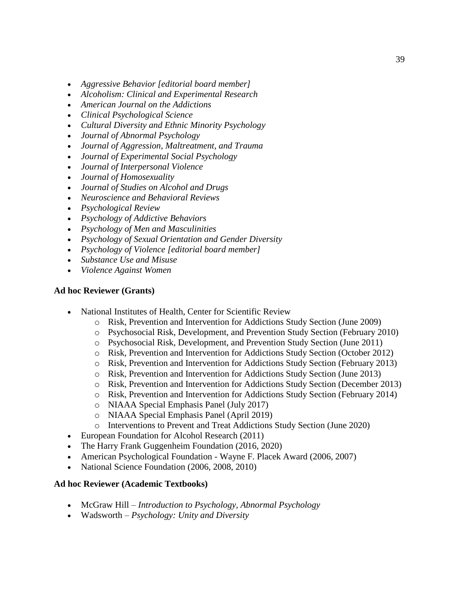- *Aggressive Behavior [editorial board member]*
- *Alcoholism: Clinical and Experimental Research*
- *American Journal on the Addictions*
- *Clinical Psychological Science*
- *Cultural Diversity and Ethnic Minority Psychology*
- *Journal of Abnormal Psychology*
- *Journal of Aggression, Maltreatment, and Trauma*
- *Journal of Experimental Social Psychology*
- *Journal of Interpersonal Violence*
- *Journal of Homosexuality*
- *Journal of Studies on Alcohol and Drugs*
- *Neuroscience and Behavioral Reviews*
- *Psychological Review*
- *Psychology of Addictive Behaviors*
- *Psychology of Men and Masculinities*
- *Psychology of Sexual Orientation and Gender Diversity*
- *Psychology of Violence [editorial board member]*
- *Substance Use and Misuse*
- *Violence Against Women*

### **Ad hoc Reviewer (Grants)**

- National Institutes of Health, Center for Scientific Review
	- o Risk, Prevention and Intervention for Addictions Study Section (June 2009)
	- o Psychosocial Risk, Development, and Prevention Study Section (February 2010)
	- o Psychosocial Risk, Development, and Prevention Study Section (June 2011)
	- o Risk, Prevention and Intervention for Addictions Study Section (October 2012)
	- o Risk, Prevention and Intervention for Addictions Study Section (February 2013)
	- o Risk, Prevention and Intervention for Addictions Study Section (June 2013)
	- o Risk, Prevention and Intervention for Addictions Study Section (December 2013)
	- o Risk, Prevention and Intervention for Addictions Study Section (February 2014)
	- o NIAAA Special Emphasis Panel (July 2017)
	- o NIAAA Special Emphasis Panel (April 2019)
	- o Interventions to Prevent and Treat Addictions Study Section (June 2020)
- European Foundation for Alcohol Research (2011)
- The Harry Frank Guggenheim Foundation (2016, 2020)
- American Psychological Foundation Wayne F. Placek Award (2006, 2007)
- National Science Foundation (2006, 2008, 2010)

### **Ad hoc Reviewer (Academic Textbooks)**

- McGraw Hill *Introduction to Psychology, Abnormal Psychology*
- Wadsworth *Psychology: Unity and Diversity*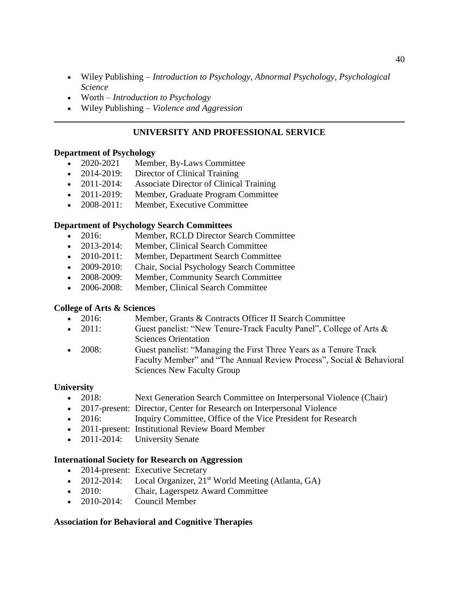- Wiley Publishing *Introduction to Psychology*, *Abnormal Psychology*, *Psychological Science*
- Worth *Introduction to Psychology*
- Wiley Publishing *Violence and Aggression*

### **UNIVERSITY AND PROFESSIONAL SERVICE**

#### **Department of Psychology**

- 2020-2021 Member, By-Laws Committee
- 2014-2019: Director of Clinical Training
- 2011-2014: Associate Director of Clinical Training
- 2011-2019: Member, Graduate Program Committee
- 2008-2011: Member, Executive Committee

### **Department of Psychology Search Committees**

- 2016: Member, RCLD Director Search Committee
- 2013-2014: Member, Clinical Search Committee
- 2010-2011: Member, Department Search Committee
- 2009-2010: Chair, Social Psychology Search Committee
- 2008-2009: Member, Community Search Committee
- 2006-2008: Member, Clinical Search Committee

### **College of Arts & Sciences**

- 2016: Member, Grants & Contracts Officer II Search Committee
- 2011: Guest panelist: "New Tenure-Track Faculty Panel", College of Arts & Sciences Orientation
- 2008: Guest panelist: "Managing the First Three Years as a Tenure Track Faculty Member" and "The Annual Review Process", Social & Behavioral Sciences New Faculty Group

### **University**

- 2018: Next Generation Search Committee on Interpersonal Violence (Chair)
- 2017-present: Director, Center for Research on Interpersonal Violence
- 2016: Inquiry Committee, Office of the Vice President for Research
- 2011-present: Institutional Review Board Member
- 2011-2014: University Senate

### **International Society for Research on Aggression**

- 2014-present: Executive Secretary
- 2012-2014: Local Organizer,  $21^{st}$  World Meeting (Atlanta, GA)
- 2010: Chair, Lagerspetz Award Committee
- 2010-2014: Council Member

### **Association for Behavioral and Cognitive Therapies**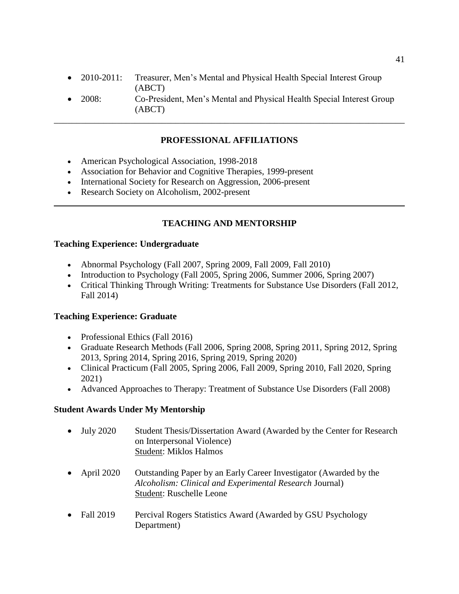- 2010-2011: Treasurer, Men's Mental and Physical Health Special Interest Group (ABCT)
- 2008: Co-President, Men's Mental and Physical Health Special Interest Group (ABCT)

\_\_\_\_\_\_\_\_\_\_\_\_\_\_\_\_\_\_\_\_\_\_\_\_\_\_\_\_\_\_\_\_\_\_\_\_\_\_\_\_\_\_\_\_\_\_\_\_\_\_\_\_\_\_\_\_\_\_\_\_\_\_\_\_\_\_\_\_\_\_\_\_\_\_\_\_\_\_

## **PROFESSIONAL AFFILIATIONS**

- American Psychological Association, 1998-2018
- Association for Behavior and Cognitive Therapies, 1999-present
- International Society for Research on Aggression, 2006-present
- Research Society on Alcoholism, 2002-present

## **TEACHING AND MENTORSHIP**

### **Teaching Experience: Undergraduate**

- Abnormal Psychology (Fall 2007, Spring 2009, Fall 2009, Fall 2010)
- Introduction to Psychology (Fall 2005, Spring 2006, Summer 2006, Spring 2007)
- Critical Thinking Through Writing: Treatments for Substance Use Disorders (Fall 2012, Fall 2014)

### **Teaching Experience: Graduate**

- Professional Ethics (Fall 2016)
- Graduate Research Methods (Fall 2006, Spring 2008, Spring 2011, Spring 2012, Spring 2013, Spring 2014, Spring 2016, Spring 2019, Spring 2020)
- Clinical Practicum (Fall 2005, Spring 2006, Fall 2009, Spring 2010, Fall 2020, Spring 2021)
- Advanced Approaches to Therapy: Treatment of Substance Use Disorders (Fall 2008)

### **Student Awards Under My Mentorship**

- July 2020 Student Thesis/Dissertation Award (Awarded by the Center for Research on Interpersonal Violence) Student: Miklos Halmos
- April 2020 Outstanding Paper by an Early Career Investigator (Awarded by the *Alcoholism: Clinical and Experimental Research* Journal) Student: Ruschelle Leone
- Fall 2019 Percival Rogers Statistics Award (Awarded by GSU Psychology Department)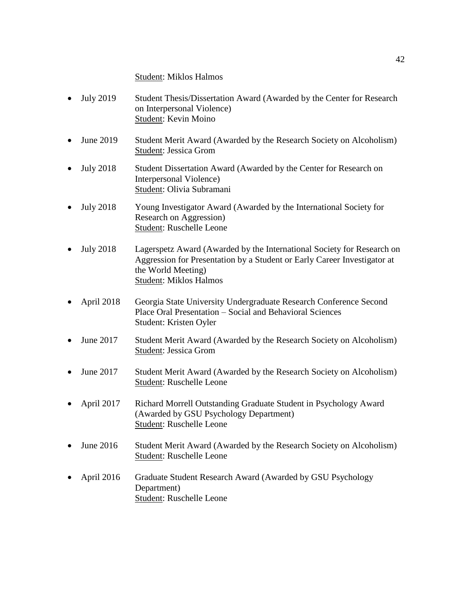### Student: Miklos Halmos

- July 2019 Student Thesis/Dissertation Award (Awarded by the Center for Research on Interpersonal Violence) Student: Kevin Moino
- June 2019 Student Merit Award (Awarded by the Research Society on Alcoholism) Student: Jessica Grom
- July 2018 Student Dissertation Award (Awarded by the Center for Research on Interpersonal Violence) Student: Olivia Subramani
- July 2018 Young Investigator Award (Awarded by the International Society for Research on Aggression) Student: Ruschelle Leone
- July 2018 Lagerspetz Award (Awarded by the International Society for Research on Aggression for Presentation by a Student or Early Career Investigator at the World Meeting) Student: Miklos Halmos
- April 2018 Georgia State University Undergraduate Research Conference Second Place Oral Presentation – Social and Behavioral Sciences Student: Kristen Oyler
- June 2017 Student Merit Award (Awarded by the Research Society on Alcoholism) Student: Jessica Grom
- June 2017 Student Merit Award (Awarded by the Research Society on Alcoholism) Student: Ruschelle Leone
- April 2017 Richard Morrell Outstanding Graduate Student in Psychology Award (Awarded by GSU Psychology Department) Student: Ruschelle Leone
- June 2016 Student Merit Award (Awarded by the Research Society on Alcoholism) Student: Ruschelle Leone
- April 2016 Graduate Student Research Award (Awarded by GSU Psychology Department) Student: Ruschelle Leone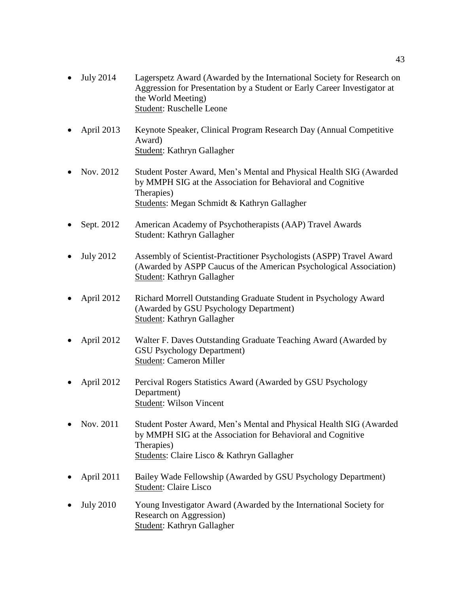- July 2014 Lagerspetz Award (Awarded by the International Society for Research on Aggression for Presentation by a Student or Early Career Investigator at the World Meeting) Student: Ruschelle Leone
- April 2013 Keynote Speaker, Clinical Program Research Day (Annual Competitive Award) Student: Kathryn Gallagher
- Nov. 2012 Student Poster Award, Men's Mental and Physical Health SIG (Awarded by MMPH SIG at the Association for Behavioral and Cognitive Therapies) Students: Megan Schmidt & Kathryn Gallagher
- Sept. 2012 American Academy of Psychotherapists (AAP) Travel Awards Student: Kathryn Gallagher
- July 2012 Assembly of Scientist-Practitioner Psychologists (ASPP) Travel Award (Awarded by ASPP Caucus of the American Psychological Association) Student: Kathryn Gallagher
- April 2012 Richard Morrell Outstanding Graduate Student in Psychology Award (Awarded by GSU Psychology Department) Student: Kathryn Gallagher
- April 2012 Walter F. Daves Outstanding Graduate Teaching Award (Awarded by GSU Psychology Department) Student: Cameron Miller
- April 2012 Percival Rogers Statistics Award (Awarded by GSU Psychology Department) Student: Wilson Vincent
- Nov. 2011 Student Poster Award, Men's Mental and Physical Health SIG (Awarded by MMPH SIG at the Association for Behavioral and Cognitive Therapies) Students: Claire Lisco & Kathryn Gallagher
- April 2011 Bailey Wade Fellowship (Awarded by GSU Psychology Department) Student: Claire Lisco
- July 2010 Young Investigator Award (Awarded by the International Society for Research on Aggression) Student: Kathryn Gallagher